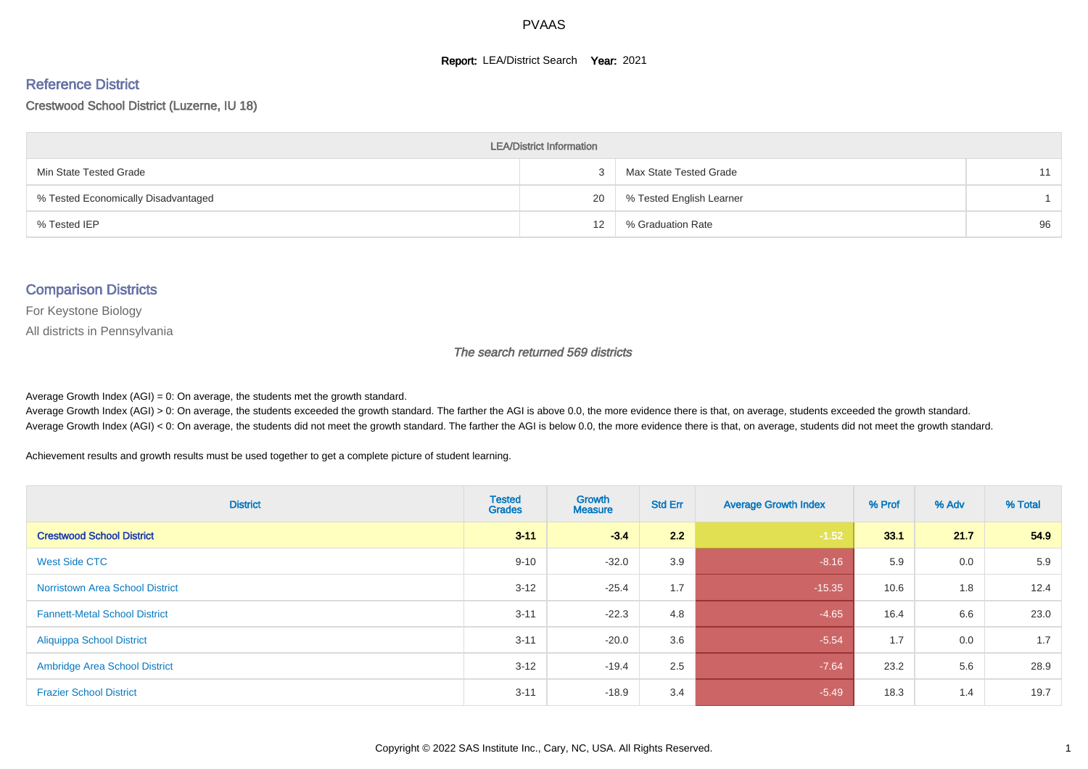#### **Report: LEA/District Search Year: 2021**

#### Reference District

#### Crestwood School District (Luzerne, IU 18)

| <b>LEA/District Information</b>     |    |                          |    |  |  |  |  |  |  |  |
|-------------------------------------|----|--------------------------|----|--|--|--|--|--|--|--|
| Min State Tested Grade              |    | Max State Tested Grade   | 11 |  |  |  |  |  |  |  |
| % Tested Economically Disadvantaged | 20 | % Tested English Learner |    |  |  |  |  |  |  |  |
| % Tested IEP                        | 12 | % Graduation Rate        | 96 |  |  |  |  |  |  |  |

#### Comparison Districts

For Keystone Biology

All districts in Pennsylvania

The search returned 569 districts

Average Growth Index  $(AGI) = 0$ : On average, the students met the growth standard.

Average Growth Index (AGI) > 0: On average, the students exceeded the growth standard. The farther the AGI is above 0.0, the more evidence there is that, on average, students exceeded the growth standard. Average Growth Index (AGI) < 0: On average, the students did not meet the growth standard. The farther the AGI is below 0.0, the more evidence there is that, on average, students did not meet the growth standard.

Achievement results and growth results must be used together to get a complete picture of student learning.

| <b>District</b>                        | <b>Tested</b><br><b>Grades</b> | Growth<br><b>Measure</b> | <b>Std Err</b> | <b>Average Growth Index</b> | % Prof | % Adv | % Total |
|----------------------------------------|--------------------------------|--------------------------|----------------|-----------------------------|--------|-------|---------|
| <b>Crestwood School District</b>       | $3 - 11$                       | $-3.4$                   | 2.2            | $-1.52$                     | 33.1   | 21.7  | 54.9    |
| West Side CTC                          | $9 - 10$                       | $-32.0$                  | 3.9            | $-8.16$                     | 5.9    | 0.0   | 5.9     |
| <b>Norristown Area School District</b> | $3 - 12$                       | $-25.4$                  | 1.7            | $-15.35$                    | 10.6   | 1.8   | 12.4    |
| <b>Fannett-Metal School District</b>   | $3 - 11$                       | $-22.3$                  | 4.8            | $-4.65$                     | 16.4   | 6.6   | 23.0    |
| <b>Aliquippa School District</b>       | $3 - 11$                       | $-20.0$                  | 3.6            | $-5.54$                     | 1.7    | 0.0   | 1.7     |
| <b>Ambridge Area School District</b>   | $3 - 12$                       | $-19.4$                  | 2.5            | $-7.64$                     | 23.2   | 5.6   | 28.9    |
| <b>Frazier School District</b>         | $3 - 11$                       | $-18.9$                  | 3.4            | $-5.49$                     | 18.3   | 1.4   | 19.7    |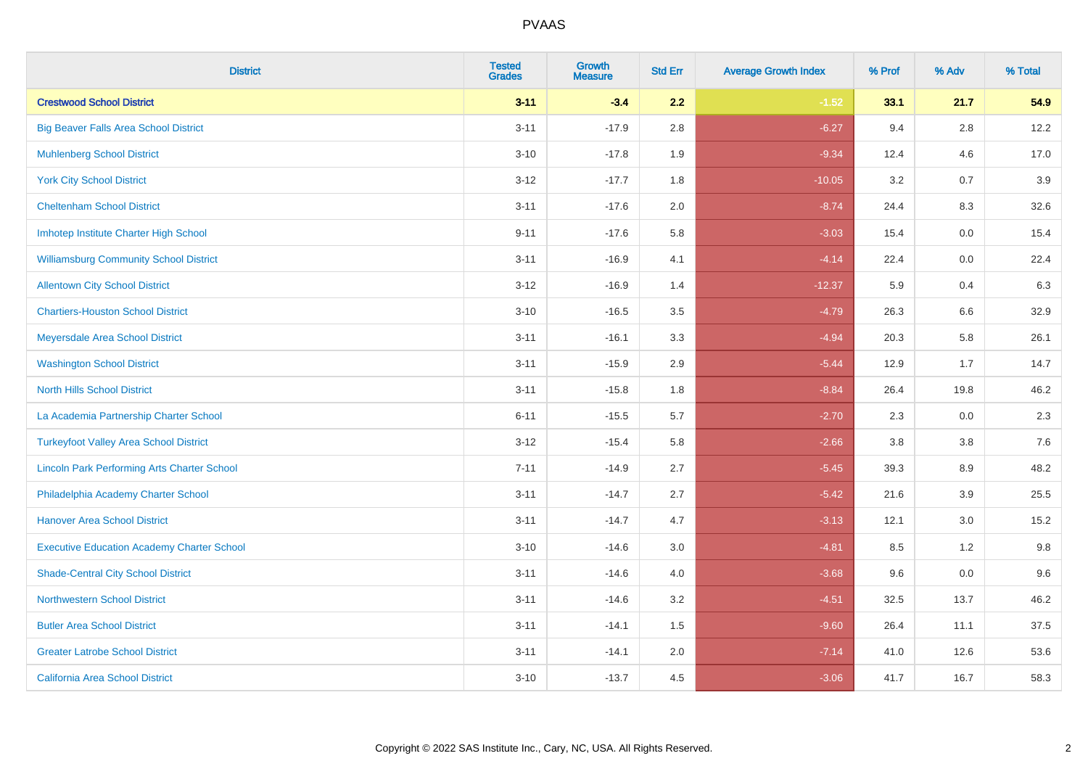| <b>District</b>                                    | <b>Tested</b><br><b>Grades</b> | <b>Growth</b><br><b>Measure</b> | <b>Std Err</b> | <b>Average Growth Index</b> | % Prof | % Adv   | % Total |
|----------------------------------------------------|--------------------------------|---------------------------------|----------------|-----------------------------|--------|---------|---------|
| <b>Crestwood School District</b>                   | $3 - 11$                       | $-3.4$                          | 2.2            | $-1.52$                     | 33.1   | 21.7    | 54.9    |
| <b>Big Beaver Falls Area School District</b>       | $3 - 11$                       | $-17.9$                         | 2.8            | $-6.27$                     | 9.4    | 2.8     | 12.2    |
| <b>Muhlenberg School District</b>                  | $3 - 10$                       | $-17.8$                         | 1.9            | $-9.34$                     | 12.4   | 4.6     | 17.0    |
| <b>York City School District</b>                   | $3 - 12$                       | $-17.7$                         | 1.8            | $-10.05$                    | 3.2    | 0.7     | 3.9     |
| <b>Cheltenham School District</b>                  | $3 - 11$                       | $-17.6$                         | 2.0            | $-8.74$                     | 24.4   | 8.3     | 32.6    |
| Imhotep Institute Charter High School              | $9 - 11$                       | $-17.6$                         | 5.8            | $-3.03$                     | 15.4   | 0.0     | 15.4    |
| <b>Williamsburg Community School District</b>      | $3 - 11$                       | $-16.9$                         | 4.1            | $-4.14$                     | 22.4   | $0.0\,$ | 22.4    |
| <b>Allentown City School District</b>              | $3 - 12$                       | $-16.9$                         | 1.4            | $-12.37$                    | 5.9    | 0.4     | 6.3     |
| <b>Chartiers-Houston School District</b>           | $3 - 10$                       | $-16.5$                         | 3.5            | $-4.79$                     | 26.3   | 6.6     | 32.9    |
| Meyersdale Area School District                    | $3 - 11$                       | $-16.1$                         | 3.3            | $-4.94$                     | 20.3   | 5.8     | 26.1    |
| <b>Washington School District</b>                  | $3 - 11$                       | $-15.9$                         | 2.9            | $-5.44$                     | 12.9   | 1.7     | 14.7    |
| <b>North Hills School District</b>                 | $3 - 11$                       | $-15.8$                         | 1.8            | $-8.84$                     | 26.4   | 19.8    | 46.2    |
| La Academia Partnership Charter School             | $6 - 11$                       | $-15.5$                         | 5.7            | $-2.70$                     | 2.3    | 0.0     | 2.3     |
| <b>Turkeyfoot Valley Area School District</b>      | $3 - 12$                       | $-15.4$                         | 5.8            | $-2.66$                     | 3.8    | $3.8\,$ | 7.6     |
| <b>Lincoln Park Performing Arts Charter School</b> | $7 - 11$                       | $-14.9$                         | 2.7            | $-5.45$                     | 39.3   | 8.9     | 48.2    |
| Philadelphia Academy Charter School                | $3 - 11$                       | $-14.7$                         | 2.7            | $-5.42$                     | 21.6   | 3.9     | 25.5    |
| <b>Hanover Area School District</b>                | $3 - 11$                       | $-14.7$                         | 4.7            | $-3.13$                     | 12.1   | 3.0     | 15.2    |
| <b>Executive Education Academy Charter School</b>  | $3 - 10$                       | $-14.6$                         | 3.0            | $-4.81$                     | 8.5    | 1.2     | 9.8     |
| <b>Shade-Central City School District</b>          | $3 - 11$                       | $-14.6$                         | 4.0            | $-3.68$                     | 9.6    | 0.0     | 9.6     |
| <b>Northwestern School District</b>                | $3 - 11$                       | $-14.6$                         | 3.2            | $-4.51$                     | 32.5   | 13.7    | 46.2    |
| <b>Butler Area School District</b>                 | $3 - 11$                       | $-14.1$                         | 1.5            | $-9.60$                     | 26.4   | 11.1    | 37.5    |
| <b>Greater Latrobe School District</b>             | $3 - 11$                       | $-14.1$                         | 2.0            | $-7.14$                     | 41.0   | 12.6    | 53.6    |
| <b>California Area School District</b>             | $3 - 10$                       | $-13.7$                         | 4.5            | $-3.06$                     | 41.7   | 16.7    | 58.3    |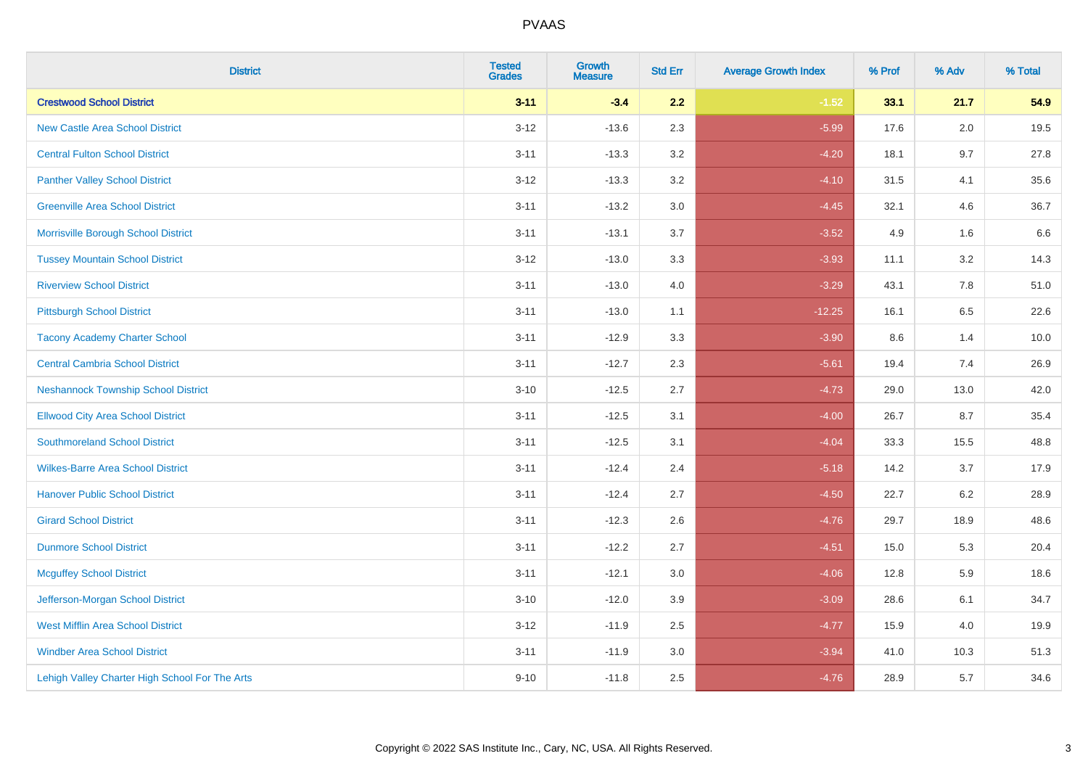| <b>District</b>                                | <b>Tested</b><br><b>Grades</b> | Growth<br><b>Measure</b> | <b>Std Err</b> | <b>Average Growth Index</b> | % Prof | % Adv   | % Total |
|------------------------------------------------|--------------------------------|--------------------------|----------------|-----------------------------|--------|---------|---------|
| <b>Crestwood School District</b>               | $3 - 11$                       | $-3.4$                   | 2.2            | $-1.52$                     | 33.1   | 21.7    | 54.9    |
| <b>New Castle Area School District</b>         | $3 - 12$                       | $-13.6$                  | 2.3            | $-5.99$                     | 17.6   | 2.0     | 19.5    |
| <b>Central Fulton School District</b>          | $3 - 11$                       | $-13.3$                  | 3.2            | $-4.20$                     | 18.1   | 9.7     | 27.8    |
| <b>Panther Valley School District</b>          | $3-12$                         | $-13.3$                  | 3.2            | $-4.10$                     | 31.5   | 4.1     | 35.6    |
| <b>Greenville Area School District</b>         | $3 - 11$                       | $-13.2$                  | 3.0            | $-4.45$                     | 32.1   | 4.6     | 36.7    |
| Morrisville Borough School District            | $3 - 11$                       | $-13.1$                  | 3.7            | $-3.52$                     | 4.9    | 1.6     | 6.6     |
| <b>Tussey Mountain School District</b>         | $3 - 12$                       | $-13.0$                  | 3.3            | $-3.93$                     | 11.1   | $3.2\,$ | 14.3    |
| <b>Riverview School District</b>               | $3 - 11$                       | $-13.0$                  | 4.0            | $-3.29$                     | 43.1   | 7.8     | 51.0    |
| <b>Pittsburgh School District</b>              | $3 - 11$                       | $-13.0$                  | 1.1            | $-12.25$                    | 16.1   | 6.5     | 22.6    |
| <b>Tacony Academy Charter School</b>           | $3 - 11$                       | $-12.9$                  | 3.3            | $-3.90$                     | 8.6    | 1.4     | 10.0    |
| <b>Central Cambria School District</b>         | $3 - 11$                       | $-12.7$                  | 2.3            | $-5.61$                     | 19.4   | 7.4     | 26.9    |
| <b>Neshannock Township School District</b>     | $3 - 10$                       | $-12.5$                  | 2.7            | $-4.73$                     | 29.0   | 13.0    | 42.0    |
| <b>Ellwood City Area School District</b>       | $3 - 11$                       | $-12.5$                  | 3.1            | $-4.00$                     | 26.7   | 8.7     | 35.4    |
| <b>Southmoreland School District</b>           | $3 - 11$                       | $-12.5$                  | 3.1            | $-4.04$                     | 33.3   | 15.5    | 48.8    |
| <b>Wilkes-Barre Area School District</b>       | $3 - 11$                       | $-12.4$                  | 2.4            | $-5.18$                     | 14.2   | 3.7     | 17.9    |
| <b>Hanover Public School District</b>          | $3 - 11$                       | $-12.4$                  | 2.7            | $-4.50$                     | 22.7   | 6.2     | 28.9    |
| <b>Girard School District</b>                  | $3 - 11$                       | $-12.3$                  | 2.6            | $-4.76$                     | 29.7   | 18.9    | 48.6    |
| <b>Dunmore School District</b>                 | $3 - 11$                       | $-12.2$                  | 2.7            | $-4.51$                     | 15.0   | 5.3     | 20.4    |
| <b>Mcguffey School District</b>                | $3 - 11$                       | $-12.1$                  | 3.0            | $-4.06$                     | 12.8   | 5.9     | 18.6    |
| Jefferson-Morgan School District               | $3 - 10$                       | $-12.0$                  | 3.9            | $-3.09$                     | 28.6   | 6.1     | 34.7    |
| West Mifflin Area School District              | $3-12$                         | $-11.9$                  | 2.5            | $-4.77$                     | 15.9   | 4.0     | 19.9    |
| <b>Windber Area School District</b>            | $3 - 11$                       | $-11.9$                  | 3.0            | $-3.94$                     | 41.0   | 10.3    | 51.3    |
| Lehigh Valley Charter High School For The Arts | $9 - 10$                       | $-11.8$                  | 2.5            | $-4.76$                     | 28.9   | 5.7     | 34.6    |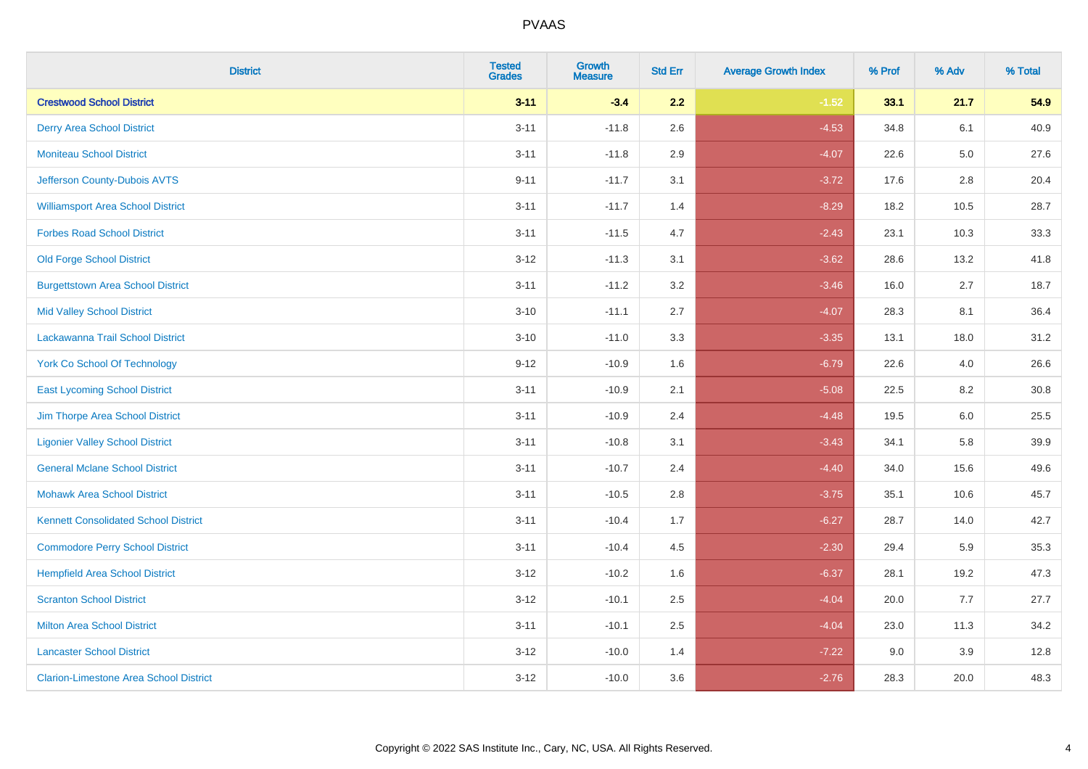| <b>District</b>                               | <b>Tested</b><br><b>Grades</b> | <b>Growth</b><br><b>Measure</b> | <b>Std Err</b> | <b>Average Growth Index</b> | % Prof | % Adv   | % Total |
|-----------------------------------------------|--------------------------------|---------------------------------|----------------|-----------------------------|--------|---------|---------|
| <b>Crestwood School District</b>              | $3 - 11$                       | $-3.4$                          | 2.2            | $-1.52$                     | 33.1   | 21.7    | 54.9    |
| <b>Derry Area School District</b>             | $3 - 11$                       | $-11.8$                         | 2.6            | $-4.53$                     | 34.8   | 6.1     | 40.9    |
| <b>Moniteau School District</b>               | $3 - 11$                       | $-11.8$                         | 2.9            | $-4.07$                     | 22.6   | $5.0\,$ | 27.6    |
| Jefferson County-Dubois AVTS                  | $9 - 11$                       | $-11.7$                         | 3.1            | $-3.72$                     | 17.6   | $2.8\,$ | 20.4    |
| <b>Williamsport Area School District</b>      | $3 - 11$                       | $-11.7$                         | 1.4            | $-8.29$                     | 18.2   | 10.5    | 28.7    |
| <b>Forbes Road School District</b>            | $3 - 11$                       | $-11.5$                         | 4.7            | $-2.43$                     | 23.1   | 10.3    | 33.3    |
| <b>Old Forge School District</b>              | $3 - 12$                       | $-11.3$                         | 3.1            | $-3.62$                     | 28.6   | 13.2    | 41.8    |
| <b>Burgettstown Area School District</b>      | $3 - 11$                       | $-11.2$                         | 3.2            | $-3.46$                     | 16.0   | 2.7     | 18.7    |
| <b>Mid Valley School District</b>             | $3 - 10$                       | $-11.1$                         | 2.7            | $-4.07$                     | 28.3   | 8.1     | 36.4    |
| Lackawanna Trail School District              | $3 - 10$                       | $-11.0$                         | 3.3            | $-3.35$                     | 13.1   | 18.0    | 31.2    |
| <b>York Co School Of Technology</b>           | $9 - 12$                       | $-10.9$                         | 1.6            | $-6.79$                     | 22.6   | 4.0     | 26.6    |
| <b>East Lycoming School District</b>          | $3 - 11$                       | $-10.9$                         | 2.1            | $-5.08$                     | 22.5   | 8.2     | 30.8    |
| Jim Thorpe Area School District               | $3 - 11$                       | $-10.9$                         | 2.4            | $-4.48$                     | 19.5   | 6.0     | 25.5    |
| <b>Ligonier Valley School District</b>        | $3 - 11$                       | $-10.8$                         | 3.1            | $-3.43$                     | 34.1   | 5.8     | 39.9    |
| <b>General Mclane School District</b>         | $3 - 11$                       | $-10.7$                         | 2.4            | $-4.40$                     | 34.0   | 15.6    | 49.6    |
| <b>Mohawk Area School District</b>            | $3 - 11$                       | $-10.5$                         | 2.8            | $-3.75$                     | 35.1   | 10.6    | 45.7    |
| <b>Kennett Consolidated School District</b>   | $3 - 11$                       | $-10.4$                         | 1.7            | $-6.27$                     | 28.7   | 14.0    | 42.7    |
| <b>Commodore Perry School District</b>        | $3 - 11$                       | $-10.4$                         | 4.5            | $-2.30$                     | 29.4   | 5.9     | 35.3    |
| <b>Hempfield Area School District</b>         | $3 - 12$                       | $-10.2$                         | 1.6            | $-6.37$                     | 28.1   | 19.2    | 47.3    |
| <b>Scranton School District</b>               | $3 - 12$                       | $-10.1$                         | 2.5            | $-4.04$                     | 20.0   | 7.7     | 27.7    |
| <b>Milton Area School District</b>            | $3 - 11$                       | $-10.1$                         | 2.5            | $-4.04$                     | 23.0   | 11.3    | 34.2    |
| <b>Lancaster School District</b>              | $3 - 12$                       | $-10.0$                         | 1.4            | $-7.22$                     | 9.0    | 3.9     | 12.8    |
| <b>Clarion-Limestone Area School District</b> | $3 - 12$                       | $-10.0$                         | 3.6            | $-2.76$                     | 28.3   | 20.0    | 48.3    |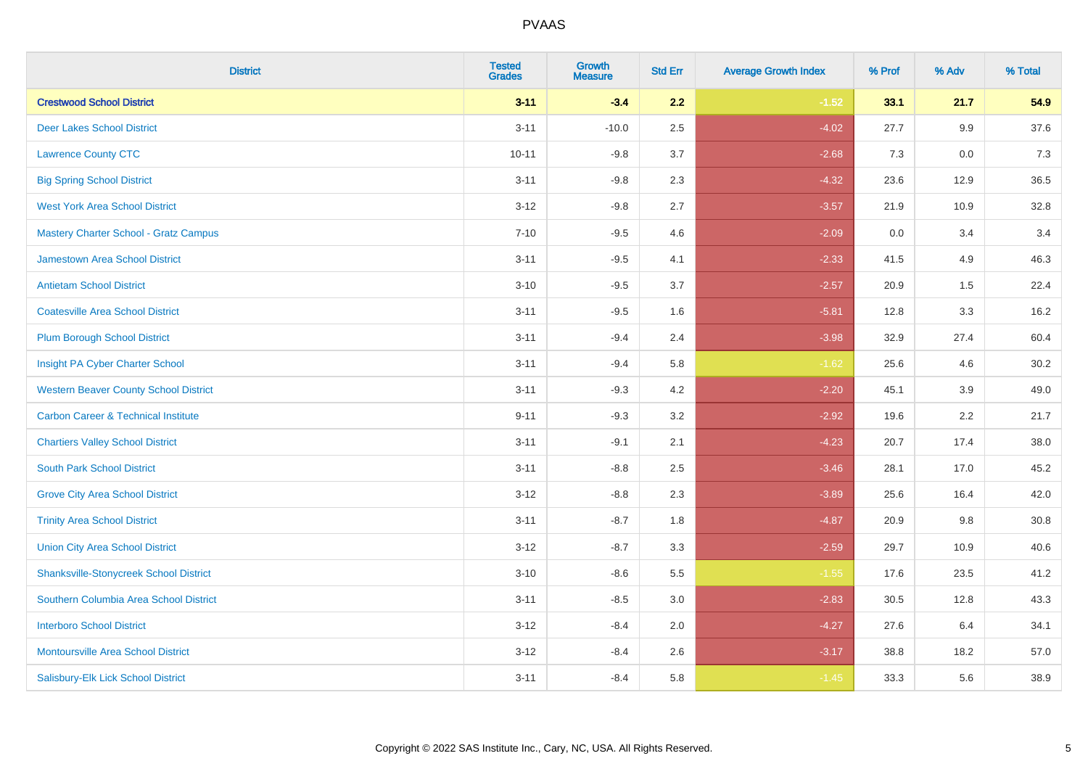| <b>District</b>                                | <b>Tested</b><br><b>Grades</b> | <b>Growth</b><br><b>Measure</b> | <b>Std Err</b> | <b>Average Growth Index</b> | % Prof | % Adv   | % Total  |
|------------------------------------------------|--------------------------------|---------------------------------|----------------|-----------------------------|--------|---------|----------|
| <b>Crestwood School District</b>               | $3 - 11$                       | $-3.4$                          | 2.2            | $-1.52$                     | 33.1   | 21.7    | 54.9     |
| <b>Deer Lakes School District</b>              | $3 - 11$                       | $-10.0$                         | 2.5            | $-4.02$                     | 27.7   | 9.9     | 37.6     |
| <b>Lawrence County CTC</b>                     | $10 - 11$                      | $-9.8$                          | 3.7            | $-2.68$                     | 7.3    | 0.0     | 7.3      |
| <b>Big Spring School District</b>              | $3 - 11$                       | $-9.8$                          | 2.3            | $-4.32$                     | 23.6   | 12.9    | 36.5     |
| <b>West York Area School District</b>          | $3 - 12$                       | $-9.8$                          | 2.7            | $-3.57$                     | 21.9   | 10.9    | 32.8     |
| <b>Mastery Charter School - Gratz Campus</b>   | $7 - 10$                       | $-9.5$                          | 4.6            | $-2.09$                     | 0.0    | 3.4     | 3.4      |
| Jamestown Area School District                 | $3 - 11$                       | $-9.5$                          | 4.1            | $-2.33$                     | 41.5   | 4.9     | 46.3     |
| <b>Antietam School District</b>                | $3 - 10$                       | $-9.5$                          | 3.7            | $-2.57$                     | 20.9   | 1.5     | 22.4     |
| <b>Coatesville Area School District</b>        | $3 - 11$                       | $-9.5$                          | 1.6            | $-5.81$                     | 12.8   | 3.3     | 16.2     |
| <b>Plum Borough School District</b>            | $3 - 11$                       | $-9.4$                          | 2.4            | $-3.98$                     | 32.9   | 27.4    | 60.4     |
| Insight PA Cyber Charter School                | $3 - 11$                       | $-9.4$                          | 5.8            | $-1.62$                     | 25.6   | 4.6     | 30.2     |
| <b>Western Beaver County School District</b>   | $3 - 11$                       | $-9.3$                          | 4.2            | $-2.20$                     | 45.1   | 3.9     | 49.0     |
| <b>Carbon Career &amp; Technical Institute</b> | $9 - 11$                       | $-9.3$                          | 3.2            | $-2.92$                     | 19.6   | $2.2\,$ | 21.7     |
| <b>Chartiers Valley School District</b>        | $3 - 11$                       | $-9.1$                          | 2.1            | $-4.23$                     | 20.7   | 17.4    | 38.0     |
| <b>South Park School District</b>              | $3 - 11$                       | $-8.8$                          | 2.5            | $-3.46$                     | 28.1   | 17.0    | 45.2     |
| <b>Grove City Area School District</b>         | $3 - 12$                       | $-8.8$                          | 2.3            | $-3.89$                     | 25.6   | 16.4    | 42.0     |
| <b>Trinity Area School District</b>            | $3 - 11$                       | $-8.7$                          | 1.8            | $-4.87$                     | 20.9   | 9.8     | $30.8\,$ |
| <b>Union City Area School District</b>         | $3 - 12$                       | $-8.7$                          | 3.3            | $-2.59$                     | 29.7   | 10.9    | 40.6     |
| <b>Shanksville-Stonycreek School District</b>  | $3 - 10$                       | $-8.6$                          | 5.5            | $-1.55$                     | 17.6   | 23.5    | 41.2     |
| Southern Columbia Area School District         | $3 - 11$                       | $-8.5$                          | 3.0            | $-2.83$                     | 30.5   | 12.8    | 43.3     |
| <b>Interboro School District</b>               | $3 - 12$                       | $-8.4$                          | 2.0            | $-4.27$                     | 27.6   | 6.4     | 34.1     |
| <b>Montoursville Area School District</b>      | $3 - 12$                       | $-8.4$                          | 2.6            | $-3.17$                     | 38.8   | 18.2    | 57.0     |
| Salisbury-Elk Lick School District             | $3 - 11$                       | $-8.4$                          | 5.8            | $-1.45$                     | 33.3   | 5.6     | 38.9     |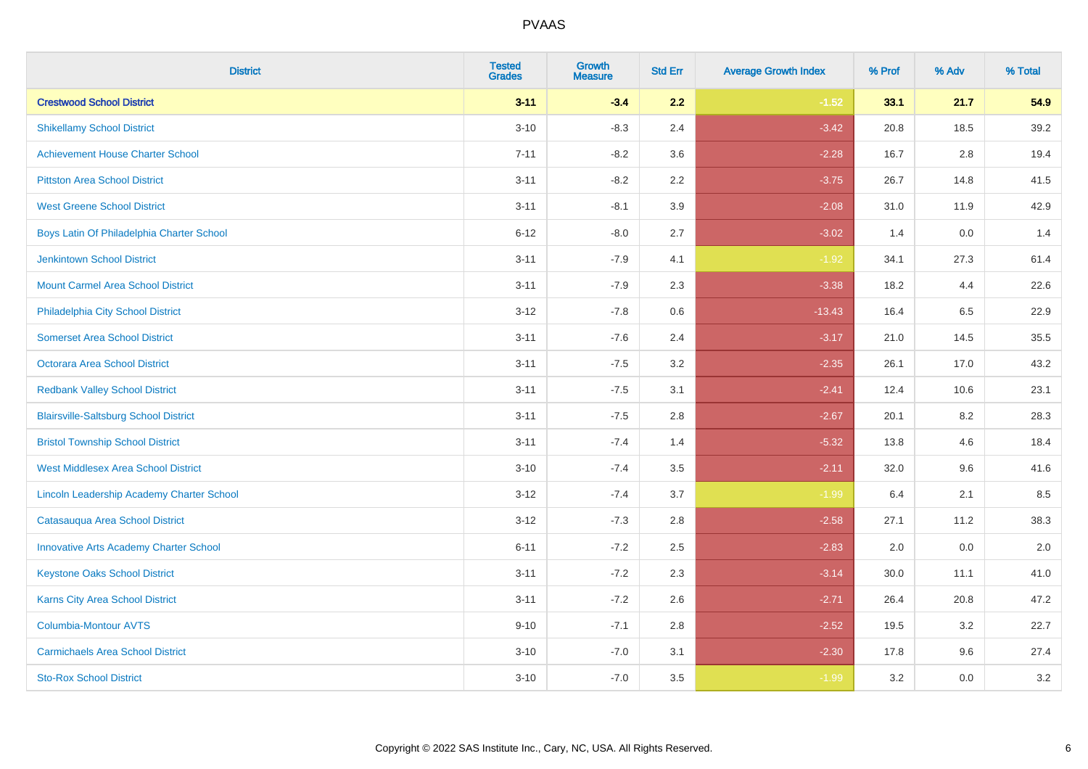| <b>District</b>                               | <b>Tested</b><br><b>Grades</b> | <b>Growth</b><br><b>Measure</b> | <b>Std Err</b> | <b>Average Growth Index</b> | % Prof | % Adv | % Total |
|-----------------------------------------------|--------------------------------|---------------------------------|----------------|-----------------------------|--------|-------|---------|
| <b>Crestwood School District</b>              | $3 - 11$                       | $-3.4$                          | 2.2            | $-1.52$                     | 33.1   | 21.7  | 54.9    |
| <b>Shikellamy School District</b>             | $3 - 10$                       | $-8.3$                          | 2.4            | $-3.42$                     | 20.8   | 18.5  | 39.2    |
| <b>Achievement House Charter School</b>       | $7 - 11$                       | $-8.2$                          | 3.6            | $-2.28$                     | 16.7   | 2.8   | 19.4    |
| <b>Pittston Area School District</b>          | $3 - 11$                       | $-8.2$                          | 2.2            | $-3.75$                     | 26.7   | 14.8  | 41.5    |
| <b>West Greene School District</b>            | $3 - 11$                       | $-8.1$                          | 3.9            | $-2.08$                     | 31.0   | 11.9  | 42.9    |
| Boys Latin Of Philadelphia Charter School     | $6 - 12$                       | $-8.0$                          | 2.7            | $-3.02$                     | 1.4    | 0.0   | 1.4     |
| <b>Jenkintown School District</b>             | $3 - 11$                       | $-7.9$                          | 4.1            | $-1.92$                     | 34.1   | 27.3  | 61.4    |
| <b>Mount Carmel Area School District</b>      | $3 - 11$                       | $-7.9$                          | 2.3            | $-3.38$                     | 18.2   | 4.4   | 22.6    |
| Philadelphia City School District             | $3 - 12$                       | $-7.8$                          | 0.6            | $-13.43$                    | 16.4   | 6.5   | 22.9    |
| <b>Somerset Area School District</b>          | $3 - 11$                       | $-7.6$                          | 2.4            | $-3.17$                     | 21.0   | 14.5  | 35.5    |
| Octorara Area School District                 | $3 - 11$                       | $-7.5$                          | 3.2            | $-2.35$                     | 26.1   | 17.0  | 43.2    |
| <b>Redbank Valley School District</b>         | $3 - 11$                       | $-7.5$                          | 3.1            | $-2.41$                     | 12.4   | 10.6  | 23.1    |
| <b>Blairsville-Saltsburg School District</b>  | $3 - 11$                       | $-7.5$                          | 2.8            | $-2.67$                     | 20.1   | 8.2   | 28.3    |
| <b>Bristol Township School District</b>       | $3 - 11$                       | $-7.4$                          | 1.4            | $-5.32$                     | 13.8   | 4.6   | 18.4    |
| <b>West Middlesex Area School District</b>    | $3 - 10$                       | $-7.4$                          | 3.5            | $-2.11$                     | 32.0   | 9.6   | 41.6    |
| Lincoln Leadership Academy Charter School     | $3 - 12$                       | $-7.4$                          | 3.7            | $-1.99$                     | 6.4    | 2.1   | 8.5     |
| Catasauqua Area School District               | $3 - 12$                       | $-7.3$                          | 2.8            | $-2.58$                     | 27.1   | 11.2  | 38.3    |
| <b>Innovative Arts Academy Charter School</b> | $6 - 11$                       | $-7.2$                          | 2.5            | $-2.83$                     | 2.0    | 0.0   | 2.0     |
| <b>Keystone Oaks School District</b>          | $3 - 11$                       | $-7.2$                          | 2.3            | $-3.14$                     | 30.0   | 11.1  | 41.0    |
| Karns City Area School District               | $3 - 11$                       | $-7.2$                          | 2.6            | $-2.71$                     | 26.4   | 20.8  | 47.2    |
| Columbia-Montour AVTS                         | $9 - 10$                       | $-7.1$                          | 2.8            | $-2.52$                     | 19.5   | 3.2   | 22.7    |
| <b>Carmichaels Area School District</b>       | $3 - 10$                       | $-7.0$                          | 3.1            | $-2.30$                     | 17.8   | 9.6   | 27.4    |
| <b>Sto-Rox School District</b>                | $3 - 10$                       | $-7.0$                          | 3.5            | $-1.99$                     | 3.2    | 0.0   | 3.2     |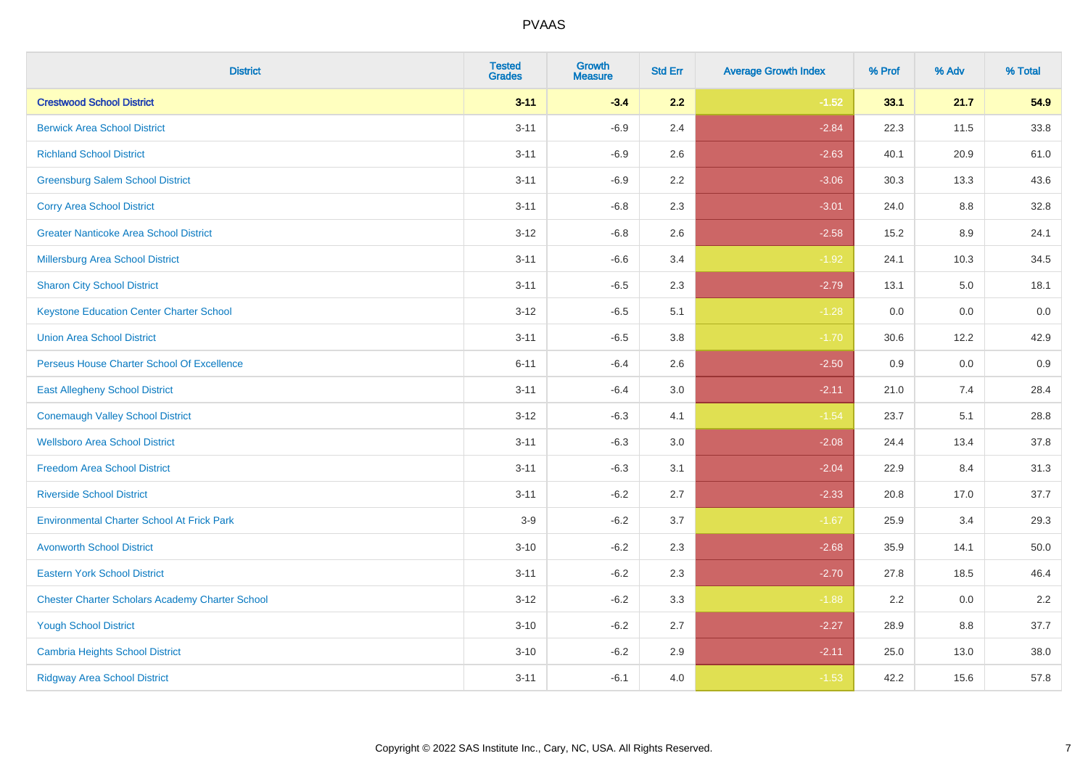| <b>District</b>                                        | <b>Tested</b><br><b>Grades</b> | <b>Growth</b><br><b>Measure</b> | <b>Std Err</b> | <b>Average Growth Index</b> | % Prof | % Adv | % Total |
|--------------------------------------------------------|--------------------------------|---------------------------------|----------------|-----------------------------|--------|-------|---------|
| <b>Crestwood School District</b>                       | $3 - 11$                       | $-3.4$                          | 2.2            | $-1.52$                     | 33.1   | 21.7  | 54.9    |
| <b>Berwick Area School District</b>                    | $3 - 11$                       | $-6.9$                          | 2.4            | $-2.84$                     | 22.3   | 11.5  | 33.8    |
| <b>Richland School District</b>                        | $3 - 11$                       | $-6.9$                          | 2.6            | $-2.63$                     | 40.1   | 20.9  | 61.0    |
| <b>Greensburg Salem School District</b>                | $3 - 11$                       | $-6.9$                          | 2.2            | $-3.06$                     | 30.3   | 13.3  | 43.6    |
| <b>Corry Area School District</b>                      | $3 - 11$                       | $-6.8$                          | 2.3            | $-3.01$                     | 24.0   | 8.8   | 32.8    |
| <b>Greater Nanticoke Area School District</b>          | $3 - 12$                       | $-6.8$                          | 2.6            | $-2.58$                     | 15.2   | 8.9   | 24.1    |
| Millersburg Area School District                       | $3 - 11$                       | $-6.6$                          | 3.4            | $-1.92$                     | 24.1   | 10.3  | 34.5    |
| <b>Sharon City School District</b>                     | $3 - 11$                       | $-6.5$                          | 2.3            | $-2.79$                     | 13.1   | 5.0   | 18.1    |
| <b>Keystone Education Center Charter School</b>        | $3 - 12$                       | $-6.5$                          | 5.1            | $-1.28$                     | 0.0    | 0.0   | 0.0     |
| <b>Union Area School District</b>                      | $3 - 11$                       | $-6.5$                          | 3.8            | $-1.70$                     | 30.6   | 12.2  | 42.9    |
| Perseus House Charter School Of Excellence             | $6 - 11$                       | $-6.4$                          | 2.6            | $-2.50$                     | 0.9    | 0.0   | 0.9     |
| <b>East Allegheny School District</b>                  | $3 - 11$                       | $-6.4$                          | 3.0            | $-2.11$                     | 21.0   | 7.4   | 28.4    |
| <b>Conemaugh Valley School District</b>                | $3 - 12$                       | $-6.3$                          | 4.1            | $-1.54$                     | 23.7   | 5.1   | 28.8    |
| <b>Wellsboro Area School District</b>                  | $3 - 11$                       | $-6.3$                          | 3.0            | $-2.08$                     | 24.4   | 13.4  | 37.8    |
| <b>Freedom Area School District</b>                    | $3 - 11$                       | $-6.3$                          | 3.1            | $-2.04$                     | 22.9   | 8.4   | 31.3    |
| <b>Riverside School District</b>                       | $3 - 11$                       | $-6.2$                          | 2.7            | $-2.33$                     | 20.8   | 17.0  | 37.7    |
| <b>Environmental Charter School At Frick Park</b>      | $3-9$                          | $-6.2$                          | 3.7            | $-1.67$                     | 25.9   | 3.4   | 29.3    |
| <b>Avonworth School District</b>                       | $3 - 10$                       | $-6.2$                          | 2.3            | $-2.68$                     | 35.9   | 14.1  | 50.0    |
| <b>Eastern York School District</b>                    | $3 - 11$                       | $-6.2$                          | 2.3            | $-2.70$                     | 27.8   | 18.5  | 46.4    |
| <b>Chester Charter Scholars Academy Charter School</b> | $3 - 12$                       | $-6.2$                          | 3.3            | $-1.88$                     | 2.2    | 0.0   | 2.2     |
| <b>Yough School District</b>                           | $3 - 10$                       | $-6.2$                          | 2.7            | $-2.27$                     | 28.9   | 8.8   | 37.7    |
| <b>Cambria Heights School District</b>                 | $3 - 10$                       | $-6.2$                          | 2.9            | $-2.11$                     | 25.0   | 13.0  | 38.0    |
| <b>Ridgway Area School District</b>                    | $3 - 11$                       | $-6.1$                          | 4.0            | $-1.53$                     | 42.2   | 15.6  | 57.8    |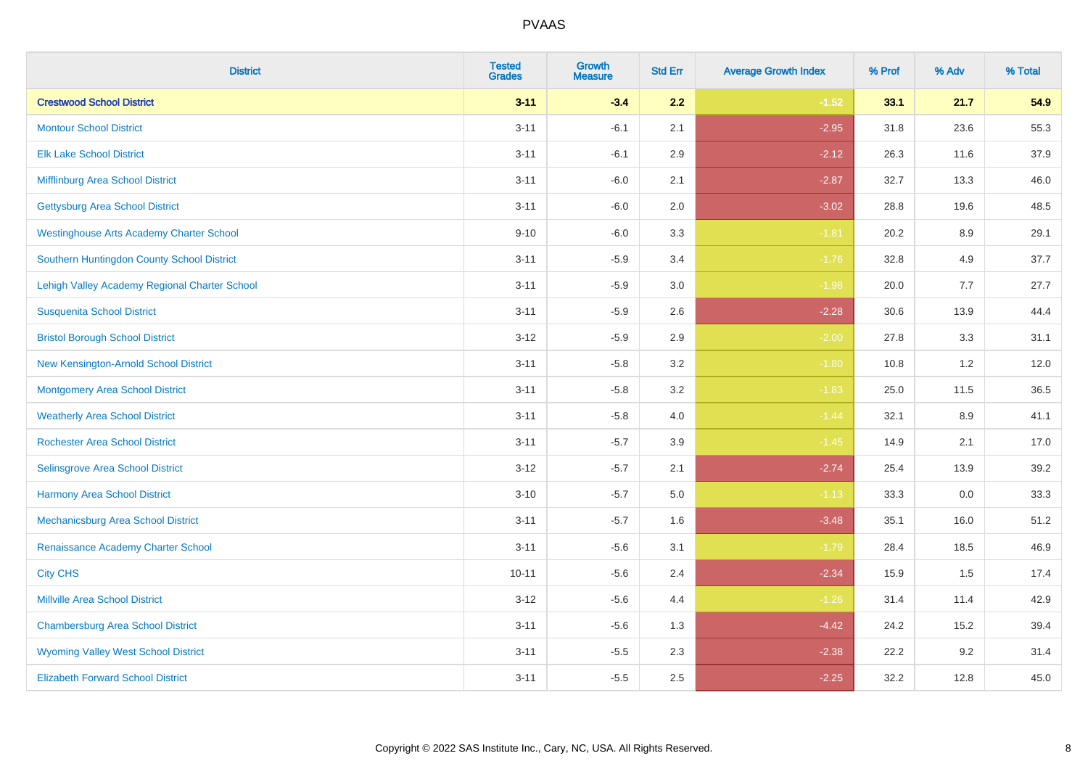| <b>District</b>                                 | <b>Tested</b><br><b>Grades</b> | <b>Growth</b><br><b>Measure</b> | <b>Std Err</b> | <b>Average Growth Index</b> | % Prof | % Adv | % Total |
|-------------------------------------------------|--------------------------------|---------------------------------|----------------|-----------------------------|--------|-------|---------|
| <b>Crestwood School District</b>                | $3 - 11$                       | $-3.4$                          | 2.2            | $-1.52$                     | 33.1   | 21.7  | 54.9    |
| <b>Montour School District</b>                  | $3 - 11$                       | $-6.1$                          | 2.1            | $-2.95$                     | 31.8   | 23.6  | 55.3    |
| <b>Elk Lake School District</b>                 | $3 - 11$                       | $-6.1$                          | 2.9            | $-2.12$                     | 26.3   | 11.6  | 37.9    |
| Mifflinburg Area School District                | $3 - 11$                       | $-6.0$                          | 2.1            | $-2.87$                     | 32.7   | 13.3  | 46.0    |
| <b>Gettysburg Area School District</b>          | $3 - 11$                       | $-6.0$                          | 2.0            | $-3.02$                     | 28.8   | 19.6  | 48.5    |
| <b>Westinghouse Arts Academy Charter School</b> | $9 - 10$                       | $-6.0$                          | 3.3            | $-1.81$                     | 20.2   | 8.9   | 29.1    |
| Southern Huntingdon County School District      | $3 - 11$                       | $-5.9$                          | 3.4            | $-1.76$                     | 32.8   | 4.9   | 37.7    |
| Lehigh Valley Academy Regional Charter School   | $3 - 11$                       | $-5.9$                          | 3.0            | $-1.98$                     | 20.0   | 7.7   | 27.7    |
| <b>Susquenita School District</b>               | $3 - 11$                       | $-5.9$                          | 2.6            | $-2.28$                     | 30.6   | 13.9  | 44.4    |
| <b>Bristol Borough School District</b>          | $3 - 12$                       | $-5.9$                          | $2.9\,$        | $-2.00$                     | 27.8   | 3.3   | 31.1    |
| New Kensington-Arnold School District           | $3 - 11$                       | $-5.8$                          | 3.2            | $-1.80$                     | 10.8   | 1.2   | 12.0    |
| Montgomery Area School District                 | $3 - 11$                       | $-5.8$                          | 3.2            | $-1.83$                     | 25.0   | 11.5  | 36.5    |
| <b>Weatherly Area School District</b>           | $3 - 11$                       | $-5.8$                          | 4.0            | $-1.44$                     | 32.1   | 8.9   | 41.1    |
| <b>Rochester Area School District</b>           | $3 - 11$                       | $-5.7$                          | 3.9            | $-1.45$                     | 14.9   | 2.1   | 17.0    |
| Selinsgrove Area School District                | $3 - 12$                       | $-5.7$                          | 2.1            | $-2.74$                     | 25.4   | 13.9  | 39.2    |
| <b>Harmony Area School District</b>             | $3 - 10$                       | $-5.7$                          | 5.0            | $-1.13$                     | 33.3   | 0.0   | 33.3    |
| Mechanicsburg Area School District              | $3 - 11$                       | $-5.7$                          | 1.6            | $-3.48$                     | 35.1   | 16.0  | 51.2    |
| Renaissance Academy Charter School              | $3 - 11$                       | $-5.6$                          | 3.1            | $-1.79$                     | 28.4   | 18.5  | 46.9    |
| <b>City CHS</b>                                 | $10 - 11$                      | $-5.6$                          | 2.4            | $-2.34$                     | 15.9   | 1.5   | 17.4    |
| <b>Millville Area School District</b>           | $3 - 12$                       | $-5.6$                          | 4.4            | $-1.26$                     | 31.4   | 11.4  | 42.9    |
| <b>Chambersburg Area School District</b>        | $3 - 11$                       | $-5.6$                          | 1.3            | $-4.42$                     | 24.2   | 15.2  | 39.4    |
| <b>Wyoming Valley West School District</b>      | $3 - 11$                       | $-5.5$                          | 2.3            | $-2.38$                     | 22.2   | 9.2   | 31.4    |
| <b>Elizabeth Forward School District</b>        | $3 - 11$                       | $-5.5$                          | 2.5            | $-2.25$                     | 32.2   | 12.8  | 45.0    |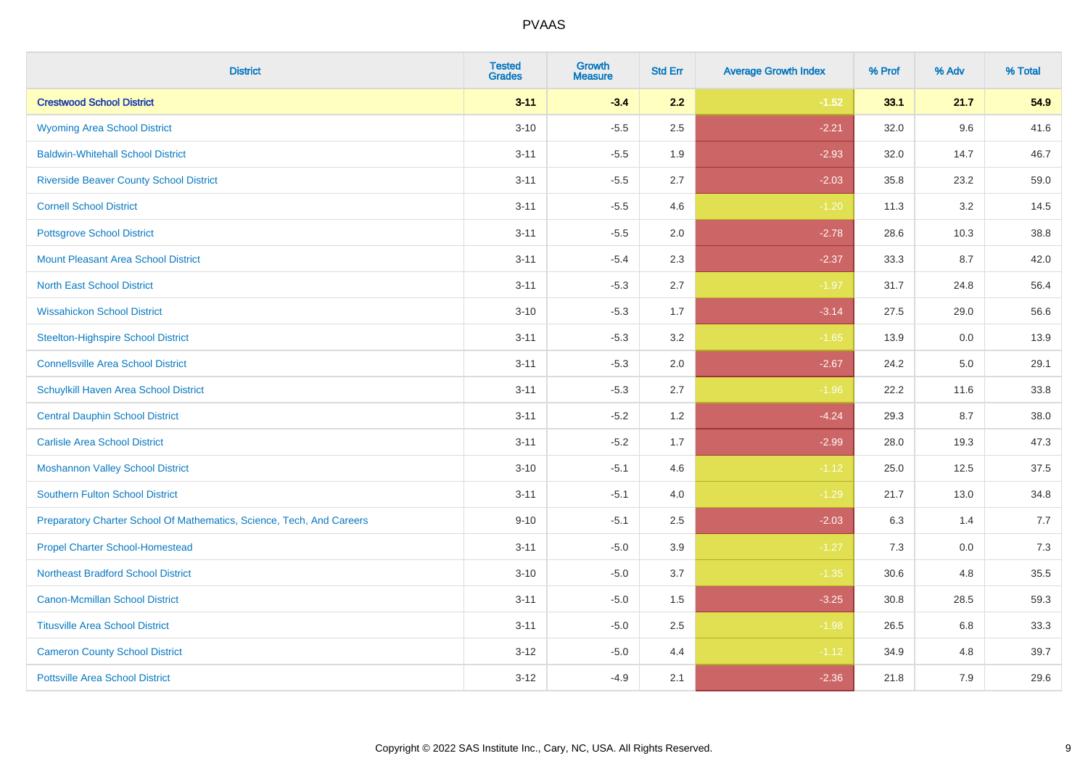| <b>District</b>                                                       | <b>Tested</b><br><b>Grades</b> | <b>Growth</b><br><b>Measure</b> | <b>Std Err</b> | <b>Average Growth Index</b> | % Prof | % Adv | % Total |
|-----------------------------------------------------------------------|--------------------------------|---------------------------------|----------------|-----------------------------|--------|-------|---------|
| <b>Crestwood School District</b>                                      | $3 - 11$                       | $-3.4$                          | 2.2            | $-1.52$                     | 33.1   | 21.7  | 54.9    |
| <b>Wyoming Area School District</b>                                   | $3 - 10$                       | $-5.5$                          | 2.5            | $-2.21$                     | 32.0   | 9.6   | 41.6    |
| <b>Baldwin-Whitehall School District</b>                              | $3 - 11$                       | $-5.5$                          | 1.9            | $-2.93$                     | 32.0   | 14.7  | 46.7    |
| <b>Riverside Beaver County School District</b>                        | $3 - 11$                       | $-5.5$                          | 2.7            | $-2.03$                     | 35.8   | 23.2  | 59.0    |
| <b>Cornell School District</b>                                        | $3 - 11$                       | $-5.5$                          | 4.6            | $-1.20$                     | 11.3   | 3.2   | 14.5    |
| <b>Pottsgrove School District</b>                                     | $3 - 11$                       | $-5.5$                          | 2.0            | $-2.78$                     | 28.6   | 10.3  | 38.8    |
| <b>Mount Pleasant Area School District</b>                            | $3 - 11$                       | $-5.4$                          | 2.3            | $-2.37$                     | 33.3   | 8.7   | 42.0    |
| <b>North East School District</b>                                     | $3 - 11$                       | $-5.3$                          | 2.7            | $-1.97$                     | 31.7   | 24.8  | 56.4    |
| <b>Wissahickon School District</b>                                    | $3 - 10$                       | $-5.3$                          | 1.7            | $-3.14$                     | 27.5   | 29.0  | 56.6    |
| <b>Steelton-Highspire School District</b>                             | $3 - 11$                       | $-5.3$                          | 3.2            | $-1.65$                     | 13.9   | 0.0   | 13.9    |
| <b>Connellsville Area School District</b>                             | $3 - 11$                       | $-5.3$                          | 2.0            | $-2.67$                     | 24.2   | 5.0   | 29.1    |
| Schuylkill Haven Area School District                                 | $3 - 11$                       | $-5.3$                          | 2.7            | $-1.96$                     | 22.2   | 11.6  | 33.8    |
| <b>Central Dauphin School District</b>                                | $3 - 11$                       | $-5.2$                          | $1.2$          | $-4.24$                     | 29.3   | 8.7   | 38.0    |
| <b>Carlisle Area School District</b>                                  | $3 - 11$                       | $-5.2$                          | 1.7            | $-2.99$                     | 28.0   | 19.3  | 47.3    |
| <b>Moshannon Valley School District</b>                               | $3 - 10$                       | $-5.1$                          | 4.6            | $-1.12$                     | 25.0   | 12.5  | 37.5    |
| <b>Southern Fulton School District</b>                                | $3 - 11$                       | $-5.1$                          | 4.0            | $-1.29$                     | 21.7   | 13.0  | 34.8    |
| Preparatory Charter School Of Mathematics, Science, Tech, And Careers | $9 - 10$                       | $-5.1$                          | 2.5            | $-2.03$                     | 6.3    | 1.4   | 7.7     |
| <b>Propel Charter School-Homestead</b>                                | $3 - 11$                       | $-5.0$                          | 3.9            | $-1.27$                     | 7.3    | 0.0   | 7.3     |
| <b>Northeast Bradford School District</b>                             | $3 - 10$                       | $-5.0$                          | 3.7            | $-1.35$                     | 30.6   | 4.8   | 35.5    |
| <b>Canon-Mcmillan School District</b>                                 | $3 - 11$                       | $-5.0$                          | 1.5            | $-3.25$                     | 30.8   | 28.5  | 59.3    |
| <b>Titusville Area School District</b>                                | $3 - 11$                       | $-5.0$                          | 2.5            | $-1.98$                     | 26.5   | 6.8   | 33.3    |
| <b>Cameron County School District</b>                                 | $3 - 12$                       | $-5.0$                          | 4.4            | $-1.12$                     | 34.9   | 4.8   | 39.7    |
| <b>Pottsville Area School District</b>                                | $3 - 12$                       | $-4.9$                          | 2.1            | $-2.36$                     | 21.8   | 7.9   | 29.6    |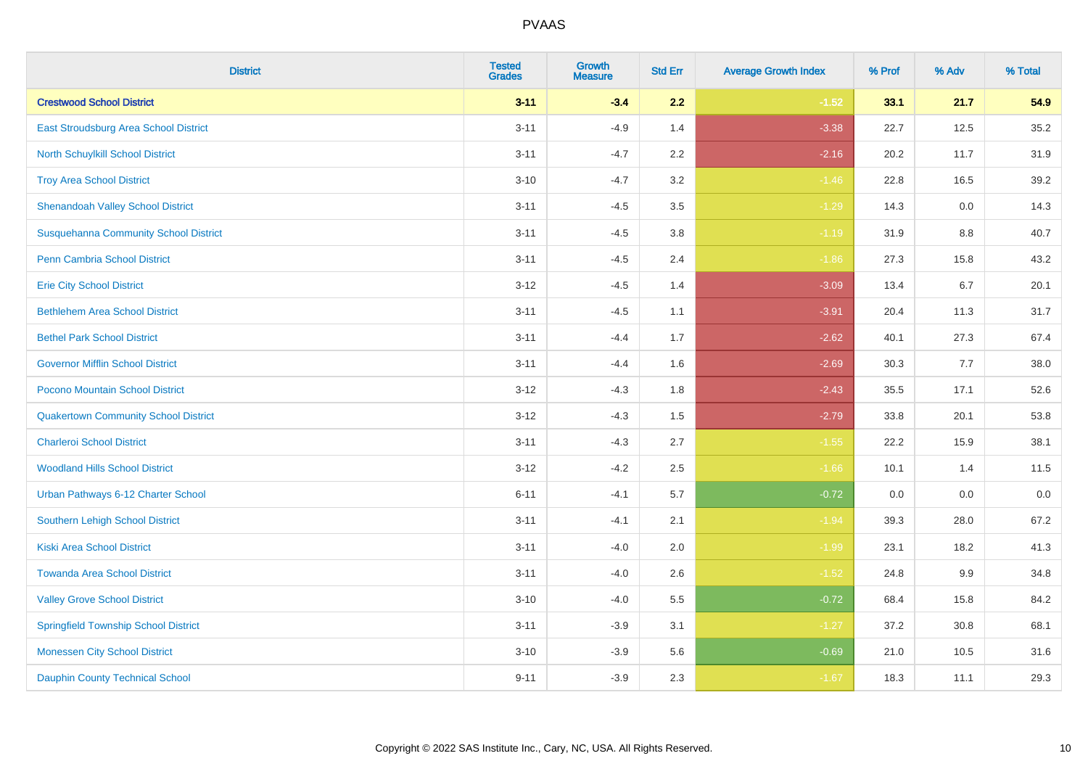| <b>District</b>                              | <b>Tested</b><br><b>Grades</b> | Growth<br><b>Measure</b> | <b>Std Err</b> | <b>Average Growth Index</b> | % Prof | % Adv | % Total |
|----------------------------------------------|--------------------------------|--------------------------|----------------|-----------------------------|--------|-------|---------|
| <b>Crestwood School District</b>             | $3 - 11$                       | $-3.4$                   | 2.2            | $-1.52$                     | 33.1   | 21.7  | 54.9    |
| East Stroudsburg Area School District        | $3 - 11$                       | $-4.9$                   | 1.4            | $-3.38$                     | 22.7   | 12.5  | 35.2    |
| North Schuylkill School District             | $3 - 11$                       | $-4.7$                   | 2.2            | $-2.16$                     | 20.2   | 11.7  | 31.9    |
| <b>Troy Area School District</b>             | $3 - 10$                       | $-4.7$                   | 3.2            | $-1.46$                     | 22.8   | 16.5  | 39.2    |
| <b>Shenandoah Valley School District</b>     | $3 - 11$                       | $-4.5$                   | 3.5            | $-1.29$                     | 14.3   | 0.0   | 14.3    |
| <b>Susquehanna Community School District</b> | $3 - 11$                       | $-4.5$                   | 3.8            | $-1.19$                     | 31.9   | 8.8   | 40.7    |
| Penn Cambria School District                 | $3 - 11$                       | $-4.5$                   | 2.4            | $-1.86$                     | 27.3   | 15.8  | 43.2    |
| <b>Erie City School District</b>             | $3 - 12$                       | $-4.5$                   | 1.4            | $-3.09$                     | 13.4   | 6.7   | 20.1    |
| <b>Bethlehem Area School District</b>        | $3 - 11$                       | $-4.5$                   | 1.1            | $-3.91$                     | 20.4   | 11.3  | 31.7    |
| <b>Bethel Park School District</b>           | $3 - 11$                       | $-4.4$                   | 1.7            | $-2.62$                     | 40.1   | 27.3  | 67.4    |
| <b>Governor Mifflin School District</b>      | $3 - 11$                       | $-4.4$                   | 1.6            | $-2.69$                     | 30.3   | 7.7   | 38.0    |
| Pocono Mountain School District              | $3 - 12$                       | $-4.3$                   | 1.8            | $-2.43$                     | 35.5   | 17.1  | 52.6    |
| <b>Quakertown Community School District</b>  | $3 - 12$                       | $-4.3$                   | 1.5            | $-2.79$                     | 33.8   | 20.1  | 53.8    |
| <b>Charleroi School District</b>             | $3 - 11$                       | $-4.3$                   | 2.7            | $-1.55$                     | 22.2   | 15.9  | 38.1    |
| <b>Woodland Hills School District</b>        | $3 - 12$                       | $-4.2$                   | 2.5            | $-1.66$                     | 10.1   | 1.4   | 11.5    |
| Urban Pathways 6-12 Charter School           | $6 - 11$                       | $-4.1$                   | 5.7            | $-0.72$                     | 0.0    | 0.0   | 0.0     |
| <b>Southern Lehigh School District</b>       | $3 - 11$                       | $-4.1$                   | 2.1            | $-1.94$                     | 39.3   | 28.0  | 67.2    |
| <b>Kiski Area School District</b>            | $3 - 11$                       | $-4.0$                   | 2.0            | $-1.99$                     | 23.1   | 18.2  | 41.3    |
| <b>Towanda Area School District</b>          | $3 - 11$                       | $-4.0$                   | 2.6            | $-1.52$                     | 24.8   | 9.9   | 34.8    |
| <b>Valley Grove School District</b>          | $3 - 10$                       | $-4.0$                   | 5.5            | $-0.72$                     | 68.4   | 15.8  | 84.2    |
| <b>Springfield Township School District</b>  | $3 - 11$                       | $-3.9$                   | 3.1            | $-1.27$                     | 37.2   | 30.8  | 68.1    |
| <b>Monessen City School District</b>         | $3 - 10$                       | $-3.9$                   | 5.6            | $-0.69$                     | 21.0   | 10.5  | 31.6    |
| <b>Dauphin County Technical School</b>       | $9 - 11$                       | $-3.9$                   | 2.3            | $-1.67$                     | 18.3   | 11.1  | 29.3    |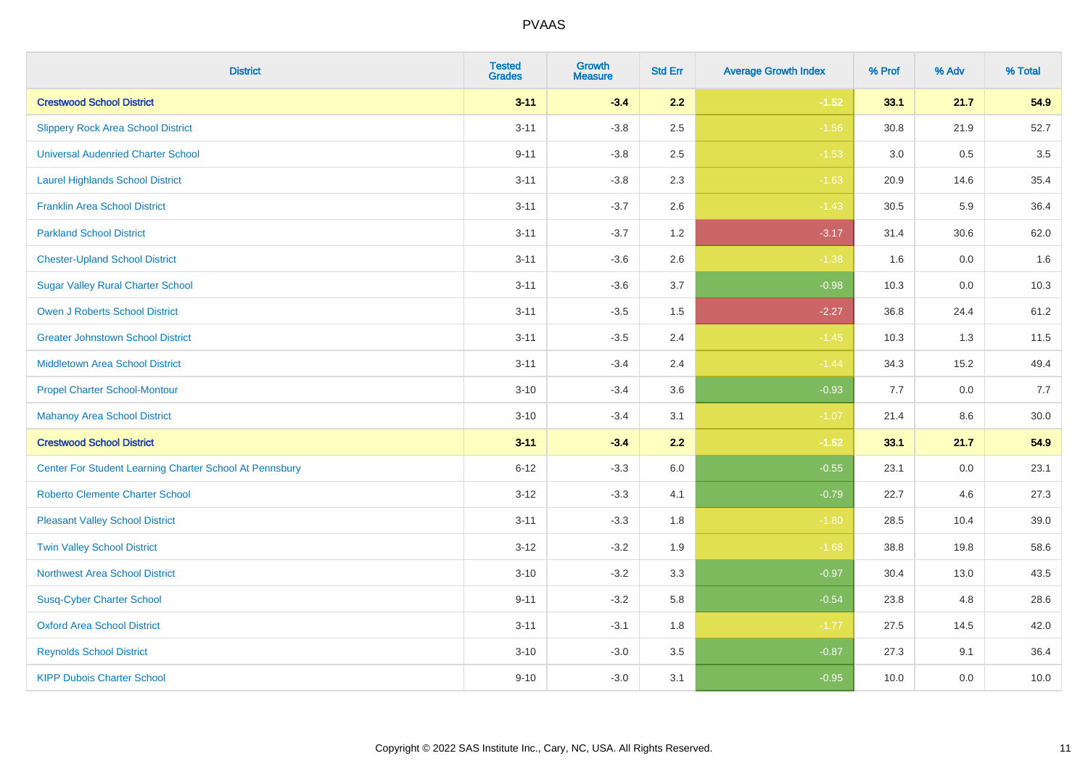| <b>District</b>                                         | <b>Tested</b><br><b>Grades</b> | <b>Growth</b><br><b>Measure</b> | <b>Std Err</b> | <b>Average Growth Index</b> | % Prof | % Adv   | % Total |
|---------------------------------------------------------|--------------------------------|---------------------------------|----------------|-----------------------------|--------|---------|---------|
| <b>Crestwood School District</b>                        | $3 - 11$                       | $-3.4$                          | 2.2            | $-1.52$                     | 33.1   | 21.7    | 54.9    |
| <b>Slippery Rock Area School District</b>               | $3 - 11$                       | $-3.8$                          | 2.5            | $-1.56$                     | 30.8   | 21.9    | 52.7    |
| <b>Universal Audenried Charter School</b>               | $9 - 11$                       | $-3.8$                          | 2.5            | $-1.53$                     | 3.0    | 0.5     | 3.5     |
| <b>Laurel Highlands School District</b>                 | $3 - 11$                       | $-3.8$                          | 2.3            | $-1.63$                     | 20.9   | 14.6    | 35.4    |
| <b>Franklin Area School District</b>                    | $3 - 11$                       | $-3.7$                          | 2.6            | $-1.43$                     | 30.5   | 5.9     | 36.4    |
| <b>Parkland School District</b>                         | $3 - 11$                       | $-3.7$                          | 1.2            | $-3.17$                     | 31.4   | 30.6    | 62.0    |
| <b>Chester-Upland School District</b>                   | $3 - 11$                       | $-3.6$                          | 2.6            | $-1.38$                     | 1.6    | $0.0\,$ | 1.6     |
| <b>Sugar Valley Rural Charter School</b>                | $3 - 11$                       | $-3.6$                          | 3.7            | $-0.98$                     | 10.3   | 0.0     | 10.3    |
| <b>Owen J Roberts School District</b>                   | $3 - 11$                       | $-3.5$                          | 1.5            | $-2.27$                     | 36.8   | 24.4    | 61.2    |
| <b>Greater Johnstown School District</b>                | $3 - 11$                       | $-3.5$                          | 2.4            | $-1.45$                     | 10.3   | 1.3     | 11.5    |
| <b>Middletown Area School District</b>                  | $3 - 11$                       | $-3.4$                          | 2.4            | $-1.44$                     | 34.3   | 15.2    | 49.4    |
| <b>Propel Charter School-Montour</b>                    | $3 - 10$                       | $-3.4$                          | 3.6            | $-0.93$                     | 7.7    | 0.0     | 7.7     |
| <b>Mahanoy Area School District</b>                     | $3 - 10$                       | $-3.4$                          | 3.1            | $-1.07$                     | 21.4   | 8.6     | 30.0    |
| <b>Crestwood School District</b>                        | $3 - 11$                       | $-3.4$                          | 2.2            | $-1.52$                     | 33.1   | 21.7    | 54.9    |
| Center For Student Learning Charter School At Pennsbury | $6 - 12$                       | $-3.3$                          | 6.0            | $-0.55$                     | 23.1   | 0.0     | 23.1    |
| <b>Roberto Clemente Charter School</b>                  | $3 - 12$                       | $-3.3$                          | 4.1            | $-0.79$                     | 22.7   | 4.6     | 27.3    |
| <b>Pleasant Valley School District</b>                  | $3 - 11$                       | $-3.3$                          | 1.8            | $-1.80$                     | 28.5   | 10.4    | 39.0    |
| <b>Twin Valley School District</b>                      | $3 - 12$                       | $-3.2$                          | 1.9            | $-1.68$                     | 38.8   | 19.8    | 58.6    |
| <b>Northwest Area School District</b>                   | $3 - 10$                       | $-3.2$                          | 3.3            | $-0.97$                     | 30.4   | 13.0    | 43.5    |
| <b>Susq-Cyber Charter School</b>                        | $9 - 11$                       | $-3.2$                          | 5.8            | $-0.54$                     | 23.8   | 4.8     | 28.6    |
| <b>Oxford Area School District</b>                      | $3 - 11$                       | $-3.1$                          | 1.8            | $-1.77$                     | 27.5   | 14.5    | 42.0    |
| <b>Reynolds School District</b>                         | $3 - 10$                       | $-3.0$                          | 3.5            | $-0.87$                     | 27.3   | 9.1     | 36.4    |
| <b>KIPP Dubois Charter School</b>                       | $9 - 10$                       | $-3.0$                          | 3.1            | $-0.95$                     | 10.0   | 0.0     | 10.0    |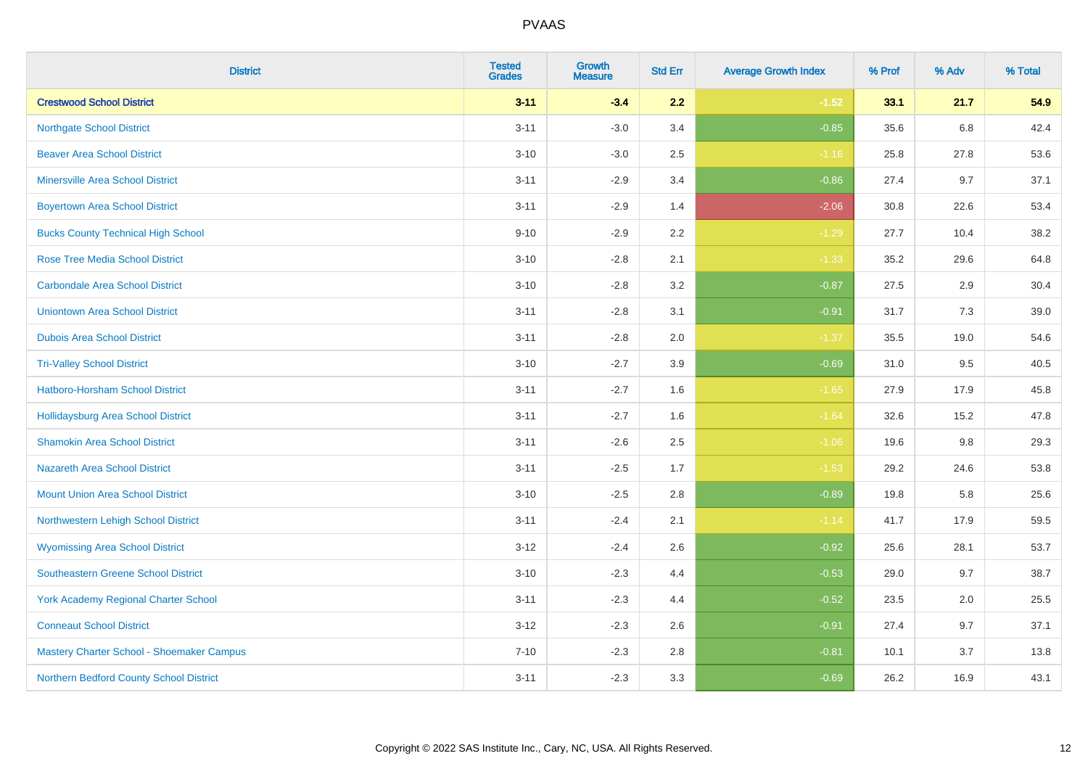| <b>District</b>                             | <b>Tested</b><br><b>Grades</b> | <b>Growth</b><br><b>Measure</b> | <b>Std Err</b> | <b>Average Growth Index</b> | % Prof | % Adv   | % Total |
|---------------------------------------------|--------------------------------|---------------------------------|----------------|-----------------------------|--------|---------|---------|
| <b>Crestwood School District</b>            | $3 - 11$                       | $-3.4$                          | 2.2            | $-1.52$                     | 33.1   | 21.7    | 54.9    |
| <b>Northgate School District</b>            | $3 - 11$                       | $-3.0$                          | 3.4            | $-0.85$                     | 35.6   | 6.8     | 42.4    |
| <b>Beaver Area School District</b>          | $3 - 10$                       | $-3.0$                          | 2.5            | $-1.16$                     | 25.8   | 27.8    | 53.6    |
| <b>Minersville Area School District</b>     | $3 - 11$                       | $-2.9$                          | 3.4            | $-0.86$                     | 27.4   | 9.7     | 37.1    |
| <b>Boyertown Area School District</b>       | $3 - 11$                       | $-2.9$                          | 1.4            | $-2.06$                     | 30.8   | 22.6    | 53.4    |
| <b>Bucks County Technical High School</b>   | $9 - 10$                       | $-2.9$                          | 2.2            | $-1.29$                     | 27.7   | 10.4    | 38.2    |
| <b>Rose Tree Media School District</b>      | $3 - 10$                       | $-2.8$                          | 2.1            | $-1.33$                     | 35.2   | 29.6    | 64.8    |
| <b>Carbondale Area School District</b>      | $3 - 10$                       | $-2.8$                          | 3.2            | $-0.87$                     | 27.5   | 2.9     | 30.4    |
| <b>Uniontown Area School District</b>       | $3 - 11$                       | $-2.8$                          | 3.1            | $-0.91$                     | 31.7   | $7.3$   | 39.0    |
| <b>Dubois Area School District</b>          | $3 - 11$                       | $-2.8$                          | 2.0            | $-1.37$                     | 35.5   | 19.0    | 54.6    |
| <b>Tri-Valley School District</b>           | $3 - 10$                       | $-2.7$                          | 3.9            | $-0.69$                     | 31.0   | 9.5     | 40.5    |
| Hatboro-Horsham School District             | $3 - 11$                       | $-2.7$                          | 1.6            | $-1.65$                     | 27.9   | 17.9    | 45.8    |
| Hollidaysburg Area School District          | $3 - 11$                       | $-2.7$                          | 1.6            | $-1.64$                     | 32.6   | 15.2    | 47.8    |
| <b>Shamokin Area School District</b>        | $3 - 11$                       | $-2.6$                          | 2.5            | $-1.06$                     | 19.6   | $9.8\,$ | 29.3    |
| <b>Nazareth Area School District</b>        | $3 - 11$                       | $-2.5$                          | 1.7            | $-1.53$                     | 29.2   | 24.6    | 53.8    |
| <b>Mount Union Area School District</b>     | $3 - 10$                       | $-2.5$                          | 2.8            | $-0.89$                     | 19.8   | 5.8     | 25.6    |
| Northwestern Lehigh School District         | $3 - 11$                       | $-2.4$                          | 2.1            | $-1.14$                     | 41.7   | 17.9    | 59.5    |
| <b>Wyomissing Area School District</b>      | $3 - 12$                       | $-2.4$                          | 2.6            | $-0.92$                     | 25.6   | 28.1    | 53.7    |
| <b>Southeastern Greene School District</b>  | $3 - 10$                       | $-2.3$                          | 4.4            | $-0.53$                     | 29.0   | 9.7     | 38.7    |
| <b>York Academy Regional Charter School</b> | $3 - 11$                       | $-2.3$                          | 4.4            | $-0.52$                     | 23.5   | 2.0     | 25.5    |
| <b>Conneaut School District</b>             | $3 - 12$                       | $-2.3$                          | 2.6            | $-0.91$                     | 27.4   | 9.7     | 37.1    |
| Mastery Charter School - Shoemaker Campus   | $7 - 10$                       | $-2.3$                          | 2.8            | $-0.81$                     | 10.1   | 3.7     | 13.8    |
| Northern Bedford County School District     | $3 - 11$                       | $-2.3$                          | 3.3            | $-0.69$                     | 26.2   | 16.9    | 43.1    |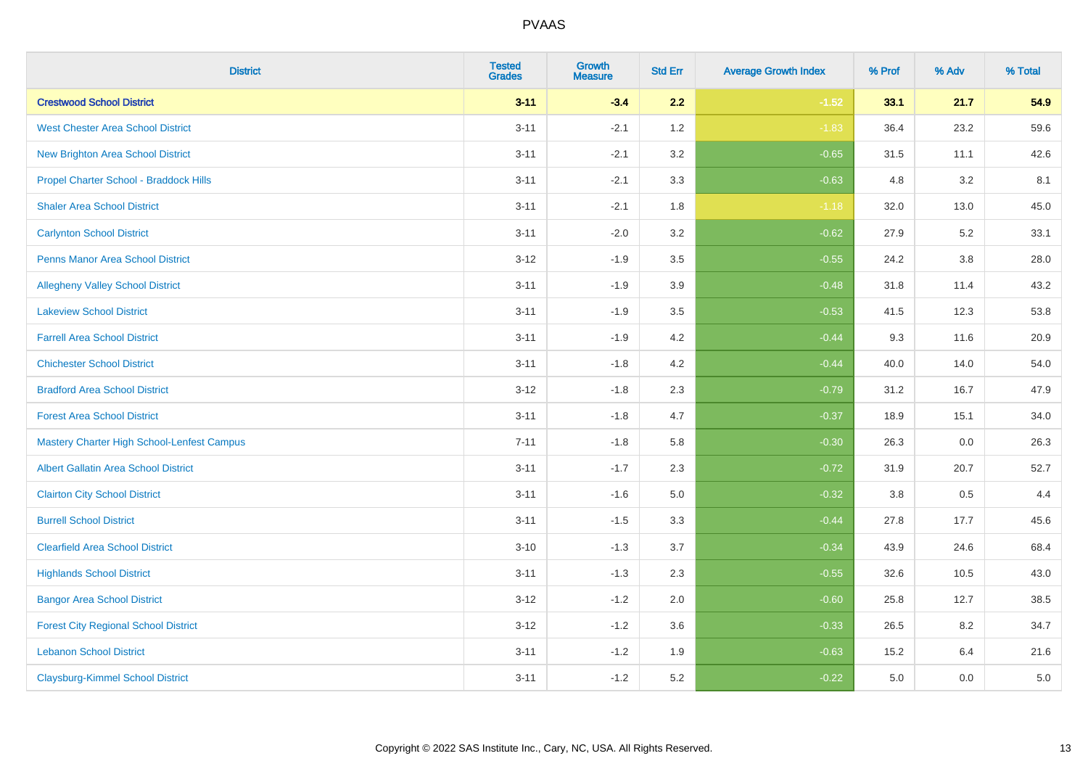| <b>District</b>                                   | <b>Tested</b><br><b>Grades</b> | <b>Growth</b><br><b>Measure</b> | <b>Std Err</b> | <b>Average Growth Index</b> | % Prof | % Adv   | % Total |
|---------------------------------------------------|--------------------------------|---------------------------------|----------------|-----------------------------|--------|---------|---------|
| <b>Crestwood School District</b>                  | $3 - 11$                       | $-3.4$                          | 2.2            | $-1.52$                     | 33.1   | 21.7    | 54.9    |
| <b>West Chester Area School District</b>          | $3 - 11$                       | $-2.1$                          | 1.2            | $-1.83$                     | 36.4   | 23.2    | 59.6    |
| <b>New Brighton Area School District</b>          | $3 - 11$                       | $-2.1$                          | 3.2            | $-0.65$                     | 31.5   | 11.1    | 42.6    |
| Propel Charter School - Braddock Hills            | $3 - 11$                       | $-2.1$                          | 3.3            | $-0.63$                     | 4.8    | $3.2\,$ | 8.1     |
| <b>Shaler Area School District</b>                | $3 - 11$                       | $-2.1$                          | 1.8            | $-1.18$                     | 32.0   | 13.0    | 45.0    |
| <b>Carlynton School District</b>                  | $3 - 11$                       | $-2.0$                          | 3.2            | $-0.62$                     | 27.9   | 5.2     | 33.1    |
| Penns Manor Area School District                  | $3 - 12$                       | $-1.9$                          | 3.5            | $-0.55$                     | 24.2   | $3.8\,$ | 28.0    |
| <b>Allegheny Valley School District</b>           | $3 - 11$                       | $-1.9$                          | 3.9            | $-0.48$                     | 31.8   | 11.4    | 43.2    |
| <b>Lakeview School District</b>                   | $3 - 11$                       | $-1.9$                          | 3.5            | $-0.53$                     | 41.5   | 12.3    | 53.8    |
| <b>Farrell Area School District</b>               | $3 - 11$                       | $-1.9$                          | 4.2            | $-0.44$                     | 9.3    | 11.6    | 20.9    |
| <b>Chichester School District</b>                 | $3 - 11$                       | $-1.8$                          | 4.2            | $-0.44$                     | 40.0   | 14.0    | 54.0    |
| <b>Bradford Area School District</b>              | $3 - 12$                       | $-1.8$                          | 2.3            | $-0.79$                     | 31.2   | 16.7    | 47.9    |
| <b>Forest Area School District</b>                | $3 - 11$                       | $-1.8$                          | 4.7            | $-0.37$                     | 18.9   | 15.1    | 34.0    |
| <b>Mastery Charter High School-Lenfest Campus</b> | $7 - 11$                       | $-1.8$                          | 5.8            | $-0.30$                     | 26.3   | 0.0     | 26.3    |
| <b>Albert Gallatin Area School District</b>       | $3 - 11$                       | $-1.7$                          | 2.3            | $-0.72$                     | 31.9   | 20.7    | 52.7    |
| <b>Clairton City School District</b>              | $3 - 11$                       | $-1.6$                          | 5.0            | $-0.32$                     | 3.8    | 0.5     | 4.4     |
| <b>Burrell School District</b>                    | $3 - 11$                       | $-1.5$                          | 3.3            | $-0.44$                     | 27.8   | 17.7    | 45.6    |
| <b>Clearfield Area School District</b>            | $3 - 10$                       | $-1.3$                          | 3.7            | $-0.34$                     | 43.9   | 24.6    | 68.4    |
| <b>Highlands School District</b>                  | $3 - 11$                       | $-1.3$                          | 2.3            | $-0.55$                     | 32.6   | 10.5    | 43.0    |
| <b>Bangor Area School District</b>                | $3 - 12$                       | $-1.2$                          | 2.0            | $-0.60$                     | 25.8   | 12.7    | 38.5    |
| <b>Forest City Regional School District</b>       | $3 - 12$                       | $-1.2$                          | 3.6            | $-0.33$                     | 26.5   | 8.2     | 34.7    |
| <b>Lebanon School District</b>                    | $3 - 11$                       | $-1.2$                          | 1.9            | $-0.63$                     | 15.2   | 6.4     | 21.6    |
| <b>Claysburg-Kimmel School District</b>           | $3 - 11$                       | $-1.2$                          | 5.2            | $-0.22$                     | 5.0    | 0.0     | $5.0\,$ |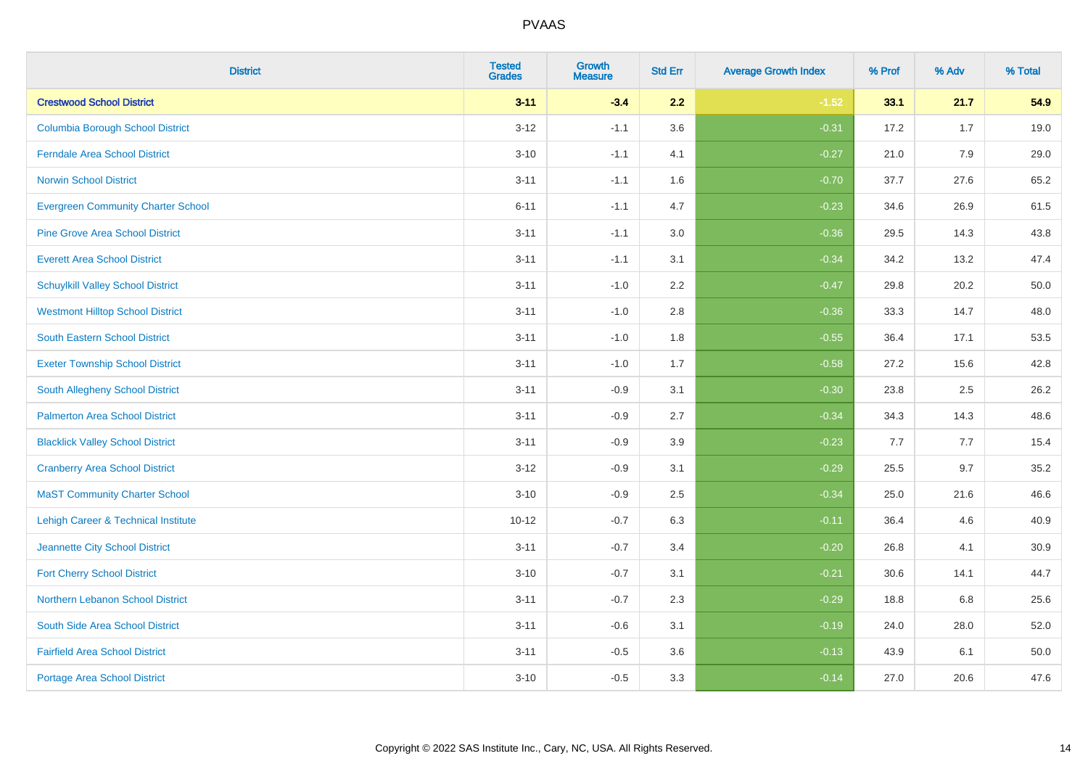| <b>District</b>                           | <b>Tested</b><br><b>Grades</b> | <b>Growth</b><br><b>Measure</b> | <b>Std Err</b> | <b>Average Growth Index</b> | % Prof | % Adv | % Total |
|-------------------------------------------|--------------------------------|---------------------------------|----------------|-----------------------------|--------|-------|---------|
| <b>Crestwood School District</b>          | $3 - 11$                       | $-3.4$                          | 2.2            | $-1.52$                     | 33.1   | 21.7  | 54.9    |
| <b>Columbia Borough School District</b>   | $3 - 12$                       | $-1.1$                          | 3.6            | $-0.31$                     | 17.2   | 1.7   | 19.0    |
| <b>Ferndale Area School District</b>      | $3 - 10$                       | $-1.1$                          | 4.1            | $-0.27$                     | 21.0   | 7.9   | 29.0    |
| <b>Norwin School District</b>             | $3 - 11$                       | $-1.1$                          | 1.6            | $-0.70$                     | 37.7   | 27.6  | 65.2    |
| <b>Evergreen Community Charter School</b> | $6 - 11$                       | $-1.1$                          | 4.7            | $-0.23$                     | 34.6   | 26.9  | 61.5    |
| <b>Pine Grove Area School District</b>    | $3 - 11$                       | $-1.1$                          | 3.0            | $-0.36$                     | 29.5   | 14.3  | 43.8    |
| <b>Everett Area School District</b>       | $3 - 11$                       | $-1.1$                          | 3.1            | $-0.34$                     | 34.2   | 13.2  | 47.4    |
| <b>Schuylkill Valley School District</b>  | $3 - 11$                       | $-1.0$                          | 2.2            | $-0.47$                     | 29.8   | 20.2  | 50.0    |
| <b>Westmont Hilltop School District</b>   | $3 - 11$                       | $-1.0$                          | 2.8            | $-0.36$                     | 33.3   | 14.7  | 48.0    |
| South Eastern School District             | $3 - 11$                       | $-1.0$                          | 1.8            | $-0.55$                     | 36.4   | 17.1  | 53.5    |
| <b>Exeter Township School District</b>    | $3 - 11$                       | $-1.0$                          | 1.7            | $-0.58$                     | 27.2   | 15.6  | 42.8    |
| <b>South Allegheny School District</b>    | $3 - 11$                       | $-0.9$                          | 3.1            | $-0.30$                     | 23.8   | 2.5   | 26.2    |
| <b>Palmerton Area School District</b>     | $3 - 11$                       | $-0.9$                          | 2.7            | $-0.34$                     | 34.3   | 14.3  | 48.6    |
| <b>Blacklick Valley School District</b>   | $3 - 11$                       | $-0.9$                          | 3.9            | $-0.23$                     | 7.7    | 7.7   | 15.4    |
| <b>Cranberry Area School District</b>     | $3-12$                         | $-0.9$                          | 3.1            | $-0.29$                     | 25.5   | 9.7   | 35.2    |
| <b>MaST Community Charter School</b>      | $3 - 10$                       | $-0.9$                          | 2.5            | $-0.34$                     | 25.0   | 21.6  | 46.6    |
| Lehigh Career & Technical Institute       | $10 - 12$                      | $-0.7$                          | 6.3            | $-0.11$                     | 36.4   | 4.6   | 40.9    |
| Jeannette City School District            | $3 - 11$                       | $-0.7$                          | 3.4            | $-0.20$                     | 26.8   | 4.1   | 30.9    |
| <b>Fort Cherry School District</b>        | $3 - 10$                       | $-0.7$                          | 3.1            | $-0.21$                     | 30.6   | 14.1  | 44.7    |
| Northern Lebanon School District          | $3 - 11$                       | $-0.7$                          | 2.3            | $-0.29$                     | 18.8   | 6.8   | 25.6    |
| South Side Area School District           | $3 - 11$                       | $-0.6$                          | 3.1            | $-0.19$                     | 24.0   | 28.0  | 52.0    |
| <b>Fairfield Area School District</b>     | $3 - 11$                       | $-0.5$                          | 3.6            | $-0.13$                     | 43.9   | 6.1   | 50.0    |
| <b>Portage Area School District</b>       | $3 - 10$                       | $-0.5$                          | 3.3            | $-0.14$                     | 27.0   | 20.6  | 47.6    |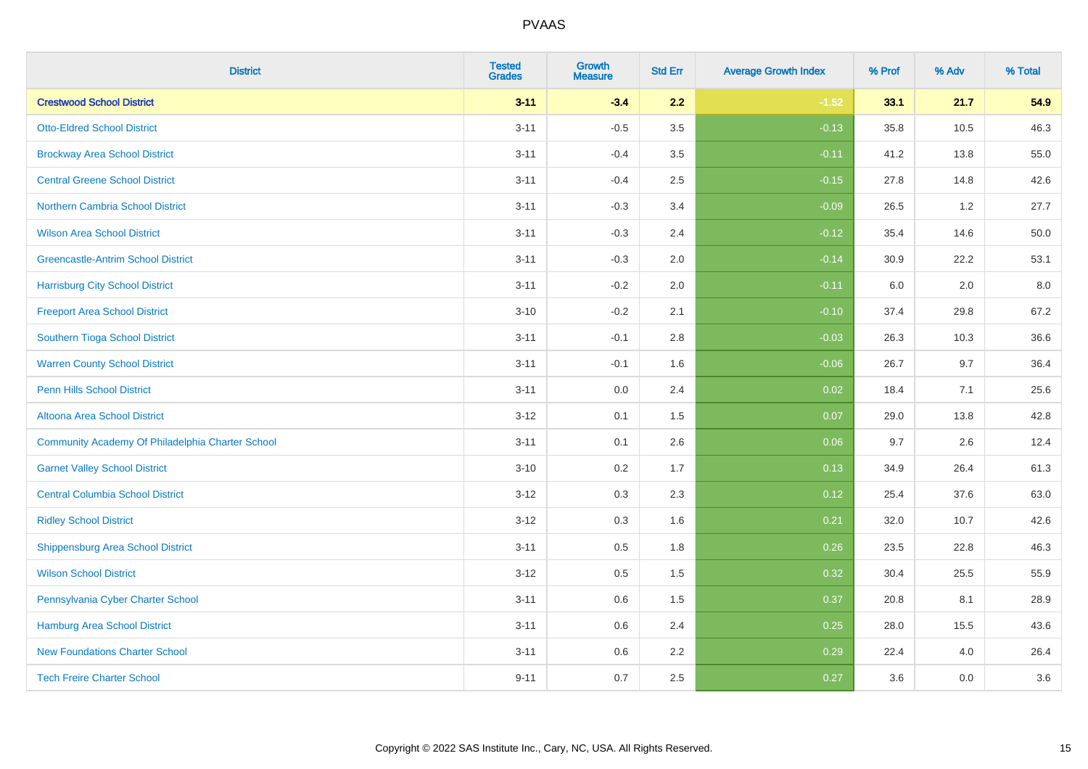| <b>District</b>                                  | <b>Tested</b><br><b>Grades</b> | <b>Growth</b><br><b>Measure</b> | <b>Std Err</b> | <b>Average Growth Index</b> | % Prof | % Adv | % Total |
|--------------------------------------------------|--------------------------------|---------------------------------|----------------|-----------------------------|--------|-------|---------|
| <b>Crestwood School District</b>                 | $3 - 11$                       | $-3.4$                          | 2.2            | $-1.52$                     | 33.1   | 21.7  | 54.9    |
| <b>Otto-Eldred School District</b>               | $3 - 11$                       | $-0.5$                          | 3.5            | $-0.13$                     | 35.8   | 10.5  | 46.3    |
| <b>Brockway Area School District</b>             | $3 - 11$                       | $-0.4$                          | 3.5            | $-0.11$                     | 41.2   | 13.8  | 55.0    |
| <b>Central Greene School District</b>            | $3 - 11$                       | $-0.4$                          | 2.5            | $-0.15$                     | 27.8   | 14.8  | 42.6    |
| <b>Northern Cambria School District</b>          | $3 - 11$                       | $-0.3$                          | 3.4            | $-0.09$                     | 26.5   | 1.2   | 27.7    |
| <b>Wilson Area School District</b>               | $3 - 11$                       | $-0.3$                          | 2.4            | $-0.12$                     | 35.4   | 14.6  | 50.0    |
| <b>Greencastle-Antrim School District</b>        | $3 - 11$                       | $-0.3$                          | 2.0            | $-0.14$                     | 30.9   | 22.2  | 53.1    |
| <b>Harrisburg City School District</b>           | $3 - 11$                       | $-0.2$                          | 2.0            | $-0.11$                     | 6.0    | 2.0   | 8.0     |
| <b>Freeport Area School District</b>             | $3 - 10$                       | $-0.2$                          | 2.1            | $-0.10$                     | 37.4   | 29.8  | 67.2    |
| Southern Tioga School District                   | $3 - 11$                       | $-0.1$                          | 2.8            | $-0.03$                     | 26.3   | 10.3  | 36.6    |
| <b>Warren County School District</b>             | $3 - 11$                       | $-0.1$                          | 1.6            | $-0.06$                     | 26.7   | 9.7   | 36.4    |
| <b>Penn Hills School District</b>                | $3 - 11$                       | 0.0                             | 2.4            | 0.02                        | 18.4   | 7.1   | 25.6    |
| Altoona Area School District                     | $3 - 12$                       | 0.1                             | 1.5            | 0.07                        | 29.0   | 13.8  | 42.8    |
| Community Academy Of Philadelphia Charter School | $3 - 11$                       | 0.1                             | 2.6            | 0.06                        | 9.7    | 2.6   | 12.4    |
| <b>Garnet Valley School District</b>             | $3 - 10$                       | 0.2                             | 1.7            | 0.13                        | 34.9   | 26.4  | 61.3    |
| <b>Central Columbia School District</b>          | $3 - 12$                       | 0.3                             | 2.3            | 0.12                        | 25.4   | 37.6  | 63.0    |
| <b>Ridley School District</b>                    | $3 - 12$                       | 0.3                             | 1.6            | 0.21                        | 32.0   | 10.7  | 42.6    |
| <b>Shippensburg Area School District</b>         | $3 - 11$                       | 0.5                             | 1.8            | 0.26                        | 23.5   | 22.8  | 46.3    |
| <b>Wilson School District</b>                    | $3 - 12$                       | 0.5                             | 1.5            | 0.32                        | 30.4   | 25.5  | 55.9    |
| Pennsylvania Cyber Charter School                | $3 - 11$                       | 0.6                             | 1.5            | 0.37                        | 20.8   | 8.1   | 28.9    |
| <b>Hamburg Area School District</b>              | $3 - 11$                       | 0.6                             | 2.4            | 0.25                        | 28.0   | 15.5  | 43.6    |
| <b>New Foundations Charter School</b>            | $3 - 11$                       | 0.6                             | 2.2            | 0.29                        | 22.4   | 4.0   | 26.4    |
| <b>Tech Freire Charter School</b>                | $9 - 11$                       | 0.7                             | 2.5            | 0.27                        | 3.6    | 0.0   | 3.6     |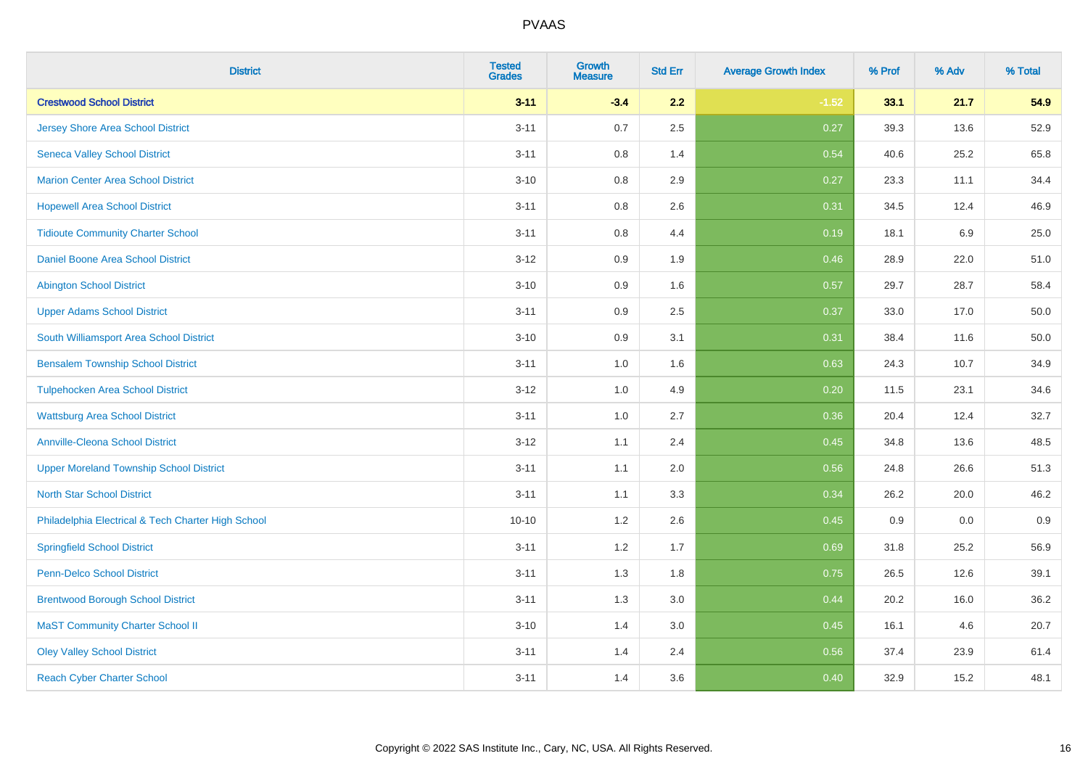| <b>District</b>                                    | <b>Tested</b><br><b>Grades</b> | <b>Growth</b><br><b>Measure</b> | <b>Std Err</b> | <b>Average Growth Index</b> | % Prof | % Adv | % Total |
|----------------------------------------------------|--------------------------------|---------------------------------|----------------|-----------------------------|--------|-------|---------|
| <b>Crestwood School District</b>                   | $3 - 11$                       | $-3.4$                          | 2.2            | $-1.52$                     | 33.1   | 21.7  | 54.9    |
| <b>Jersey Shore Area School District</b>           | $3 - 11$                       | $0.7\,$                         | 2.5            | 0.27                        | 39.3   | 13.6  | 52.9    |
| <b>Seneca Valley School District</b>               | $3 - 11$                       | 0.8                             | 1.4            | 0.54                        | 40.6   | 25.2  | 65.8    |
| <b>Marion Center Area School District</b>          | $3 - 10$                       | 0.8                             | 2.9            | 0.27                        | 23.3   | 11.1  | 34.4    |
| <b>Hopewell Area School District</b>               | $3 - 11$                       | 0.8                             | 2.6            | 0.31                        | 34.5   | 12.4  | 46.9    |
| <b>Tidioute Community Charter School</b>           | $3 - 11$                       | 0.8                             | 4.4            | 0.19                        | 18.1   | 6.9   | 25.0    |
| Daniel Boone Area School District                  | $3 - 12$                       | 0.9                             | 1.9            | 0.46                        | 28.9   | 22.0  | 51.0    |
| <b>Abington School District</b>                    | $3 - 10$                       | 0.9                             | 1.6            | 0.57                        | 29.7   | 28.7  | 58.4    |
| <b>Upper Adams School District</b>                 | $3 - 11$                       | 0.9                             | 2.5            | 0.37                        | 33.0   | 17.0  | 50.0    |
| South Williamsport Area School District            | $3 - 10$                       | 0.9                             | 3.1            | 0.31                        | 38.4   | 11.6  | 50.0    |
| <b>Bensalem Township School District</b>           | $3 - 11$                       | 1.0                             | 1.6            | 0.63                        | 24.3   | 10.7  | 34.9    |
| <b>Tulpehocken Area School District</b>            | $3 - 12$                       | 1.0                             | 4.9            | 0.20                        | 11.5   | 23.1  | 34.6    |
| <b>Wattsburg Area School District</b>              | $3 - 11$                       | $1.0\,$                         | 2.7            | 0.36                        | 20.4   | 12.4  | 32.7    |
| <b>Annville-Cleona School District</b>             | $3 - 12$                       | 1.1                             | 2.4            | 0.45                        | 34.8   | 13.6  | 48.5    |
| <b>Upper Moreland Township School District</b>     | $3 - 11$                       | 1.1                             | 2.0            | 0.56                        | 24.8   | 26.6  | 51.3    |
| <b>North Star School District</b>                  | $3 - 11$                       | 1.1                             | 3.3            | 0.34                        | 26.2   | 20.0  | 46.2    |
| Philadelphia Electrical & Tech Charter High School | $10 - 10$                      | 1.2                             | 2.6            | 0.45                        | 0.9    | 0.0   | 0.9     |
| <b>Springfield School District</b>                 | $3 - 11$                       | 1.2                             | 1.7            | 0.69                        | 31.8   | 25.2  | 56.9    |
| <b>Penn-Delco School District</b>                  | $3 - 11$                       | 1.3                             | 1.8            | 0.75                        | 26.5   | 12.6  | 39.1    |
| <b>Brentwood Borough School District</b>           | $3 - 11$                       | 1.3                             | 3.0            | 0.44                        | 20.2   | 16.0  | 36.2    |
| <b>MaST Community Charter School II</b>            | $3 - 10$                       | 1.4                             | 3.0            | 0.45                        | 16.1   | 4.6   | 20.7    |
| <b>Oley Valley School District</b>                 | $3 - 11$                       | 1.4                             | 2.4            | 0.56                        | 37.4   | 23.9  | 61.4    |
| <b>Reach Cyber Charter School</b>                  | $3 - 11$                       | 1.4                             | 3.6            | 0.40                        | 32.9   | 15.2  | 48.1    |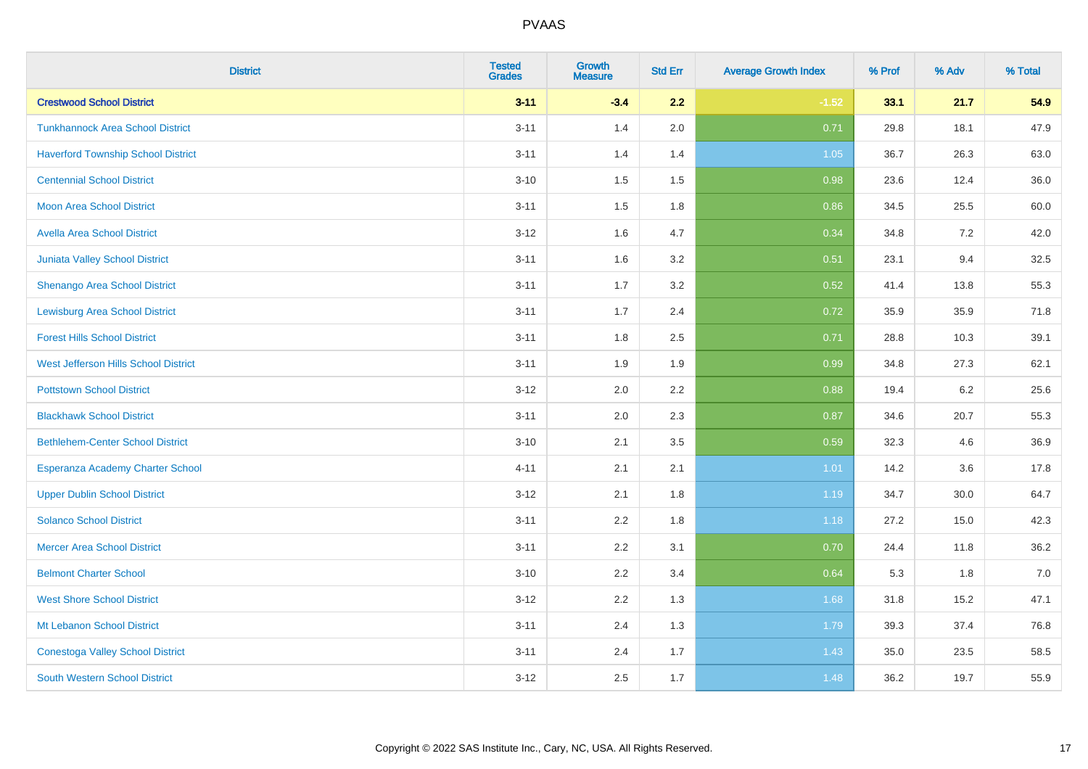| <b>District</b>                           | <b>Tested</b><br><b>Grades</b> | <b>Growth</b><br><b>Measure</b> | <b>Std Err</b> | <b>Average Growth Index</b> | % Prof | % Adv | % Total |
|-------------------------------------------|--------------------------------|---------------------------------|----------------|-----------------------------|--------|-------|---------|
| <b>Crestwood School District</b>          | $3 - 11$                       | $-3.4$                          | 2.2            | $-1.52$                     | 33.1   | 21.7  | 54.9    |
| <b>Tunkhannock Area School District</b>   | $3 - 11$                       | 1.4                             | 2.0            | 0.71                        | 29.8   | 18.1  | 47.9    |
| <b>Haverford Township School District</b> | $3 - 11$                       | 1.4                             | 1.4            | 1.05                        | 36.7   | 26.3  | 63.0    |
| <b>Centennial School District</b>         | $3 - 10$                       | 1.5                             | 1.5            | 0.98                        | 23.6   | 12.4  | 36.0    |
| <b>Moon Area School District</b>          | $3 - 11$                       | 1.5                             | 1.8            | 0.86                        | 34.5   | 25.5  | 60.0    |
| <b>Avella Area School District</b>        | $3 - 12$                       | 1.6                             | 4.7            | 0.34                        | 34.8   | 7.2   | 42.0    |
| Juniata Valley School District            | $3 - 11$                       | 1.6                             | 3.2            | 0.51                        | 23.1   | 9.4   | 32.5    |
| <b>Shenango Area School District</b>      | $3 - 11$                       | 1.7                             | 3.2            | 0.52                        | 41.4   | 13.8  | 55.3    |
| <b>Lewisburg Area School District</b>     | $3 - 11$                       | 1.7                             | 2.4            | 0.72                        | 35.9   | 35.9  | 71.8    |
| <b>Forest Hills School District</b>       | $3 - 11$                       | 1.8                             | 2.5            | 0.71                        | 28.8   | 10.3  | 39.1    |
| West Jefferson Hills School District      | $3 - 11$                       | 1.9                             | 1.9            | 0.99                        | 34.8   | 27.3  | 62.1    |
| <b>Pottstown School District</b>          | $3 - 12$                       | 2.0                             | 2.2            | 0.88                        | 19.4   | 6.2   | 25.6    |
| <b>Blackhawk School District</b>          | $3 - 11$                       | 2.0                             | 2.3            | 0.87                        | 34.6   | 20.7  | 55.3    |
| <b>Bethlehem-Center School District</b>   | $3 - 10$                       | 2.1                             | 3.5            | 0.59                        | 32.3   | 4.6   | 36.9    |
| Esperanza Academy Charter School          | $4 - 11$                       | 2.1                             | 2.1            | 1.01                        | 14.2   | 3.6   | 17.8    |
| <b>Upper Dublin School District</b>       | $3 - 12$                       | 2.1                             | 1.8            | 1.19                        | 34.7   | 30.0  | 64.7    |
| <b>Solanco School District</b>            | $3 - 11$                       | 2.2                             | 1.8            | 1.18                        | 27.2   | 15.0  | 42.3    |
| <b>Mercer Area School District</b>        | $3 - 11$                       | 2.2                             | 3.1            | 0.70                        | 24.4   | 11.8  | 36.2    |
| <b>Belmont Charter School</b>             | $3 - 10$                       | 2.2                             | 3.4            | 0.64                        | 5.3    | 1.8   | $7.0$   |
| <b>West Shore School District</b>         | $3 - 12$                       | 2.2                             | 1.3            | 1.68                        | 31.8   | 15.2  | 47.1    |
| Mt Lebanon School District                | $3 - 11$                       | 2.4                             | 1.3            | 1.79                        | 39.3   | 37.4  | 76.8    |
| <b>Conestoga Valley School District</b>   | $3 - 11$                       | 2.4                             | 1.7            | 1.43                        | 35.0   | 23.5  | 58.5    |
| <b>South Western School District</b>      | $3 - 12$                       | 2.5                             | 1.7            | 1.48                        | 36.2   | 19.7  | 55.9    |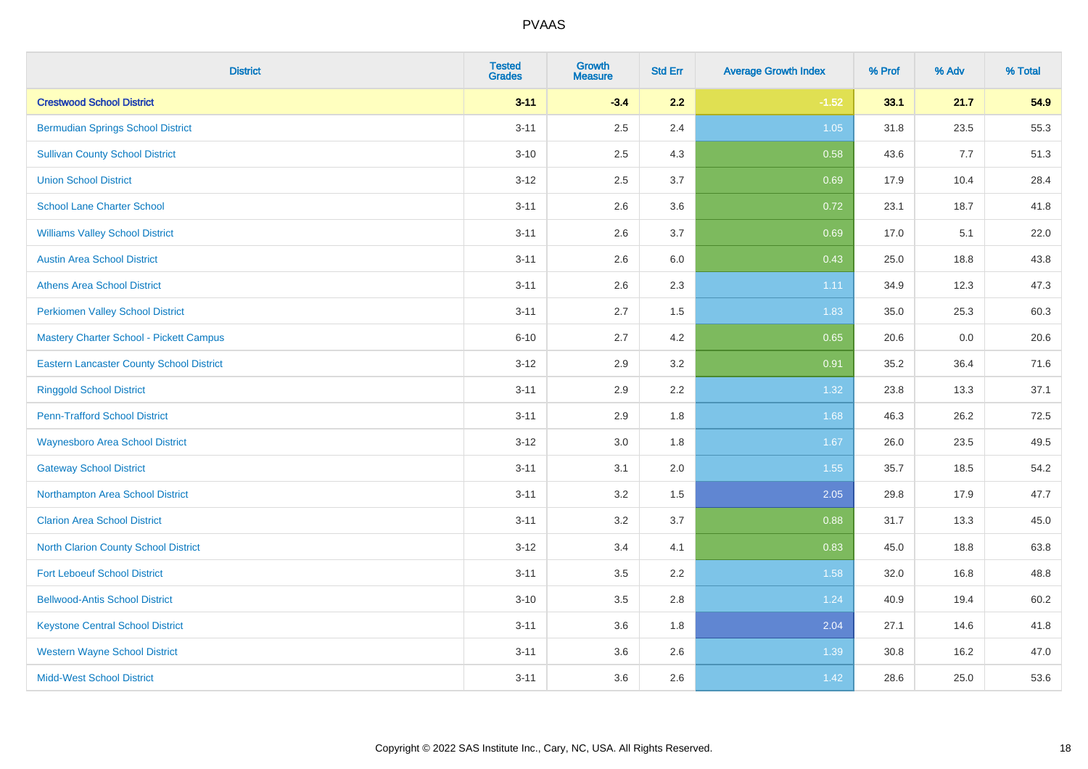| <b>District</b>                                 | <b>Tested</b><br><b>Grades</b> | <b>Growth</b><br><b>Measure</b> | <b>Std Err</b> | <b>Average Growth Index</b> | % Prof | % Adv | % Total |
|-------------------------------------------------|--------------------------------|---------------------------------|----------------|-----------------------------|--------|-------|---------|
| <b>Crestwood School District</b>                | $3 - 11$                       | $-3.4$                          | 2.2            | $-1.52$                     | 33.1   | 21.7  | 54.9    |
| <b>Bermudian Springs School District</b>        | $3 - 11$                       | 2.5                             | 2.4            | 1.05                        | 31.8   | 23.5  | 55.3    |
| <b>Sullivan County School District</b>          | $3 - 10$                       | 2.5                             | 4.3            | 0.58                        | 43.6   | 7.7   | 51.3    |
| <b>Union School District</b>                    | $3 - 12$                       | 2.5                             | 3.7            | 0.69                        | 17.9   | 10.4  | 28.4    |
| <b>School Lane Charter School</b>               | $3 - 11$                       | 2.6                             | 3.6            | 0.72                        | 23.1   | 18.7  | 41.8    |
| <b>Williams Valley School District</b>          | $3 - 11$                       | 2.6                             | 3.7            | 0.69                        | 17.0   | 5.1   | 22.0    |
| <b>Austin Area School District</b>              | $3 - 11$                       | 2.6                             | 6.0            | 0.43                        | 25.0   | 18.8  | 43.8    |
| <b>Athens Area School District</b>              | $3 - 11$                       | 2.6                             | 2.3            | 1.11                        | 34.9   | 12.3  | 47.3    |
| <b>Perkiomen Valley School District</b>         | $3 - 11$                       | 2.7                             | 1.5            | 1.83                        | 35.0   | 25.3  | 60.3    |
| <b>Mastery Charter School - Pickett Campus</b>  | $6 - 10$                       | 2.7                             | 4.2            | 0.65                        | 20.6   | 0.0   | 20.6    |
| <b>Eastern Lancaster County School District</b> | $3 - 12$                       | 2.9                             | 3.2            | 0.91                        | 35.2   | 36.4  | 71.6    |
| <b>Ringgold School District</b>                 | $3 - 11$                       | 2.9                             | 2.2            | 1.32                        | 23.8   | 13.3  | 37.1    |
| <b>Penn-Trafford School District</b>            | $3 - 11$                       | 2.9                             | 1.8            | 1.68                        | 46.3   | 26.2  | 72.5    |
| <b>Waynesboro Area School District</b>          | $3 - 12$                       | 3.0                             | 1.8            | 1.67                        | 26.0   | 23.5  | 49.5    |
| <b>Gateway School District</b>                  | $3 - 11$                       | 3.1                             | 2.0            | 1.55                        | 35.7   | 18.5  | 54.2    |
| Northampton Area School District                | $3 - 11$                       | 3.2                             | 1.5            | 2.05                        | 29.8   | 17.9  | 47.7    |
| <b>Clarion Area School District</b>             | $3 - 11$                       | $3.2\,$                         | 3.7            | 0.88                        | 31.7   | 13.3  | 45.0    |
| <b>North Clarion County School District</b>     | $3 - 12$                       | 3.4                             | 4.1            | 0.83                        | 45.0   | 18.8  | 63.8    |
| <b>Fort Leboeuf School District</b>             | $3 - 11$                       | $3.5\,$                         | 2.2            | 1.58                        | 32.0   | 16.8  | 48.8    |
| <b>Bellwood-Antis School District</b>           | $3 - 10$                       | $3.5\,$                         | 2.8            | 1.24                        | 40.9   | 19.4  | 60.2    |
| <b>Keystone Central School District</b>         | $3 - 11$                       | 3.6                             | 1.8            | 2.04                        | 27.1   | 14.6  | 41.8    |
| <b>Western Wayne School District</b>            | $3 - 11$                       | 3.6                             | 2.6            | 1.39                        | 30.8   | 16.2  | 47.0    |
| <b>Midd-West School District</b>                | $3 - 11$                       | 3.6                             | 2.6            | 1.42                        | 28.6   | 25.0  | 53.6    |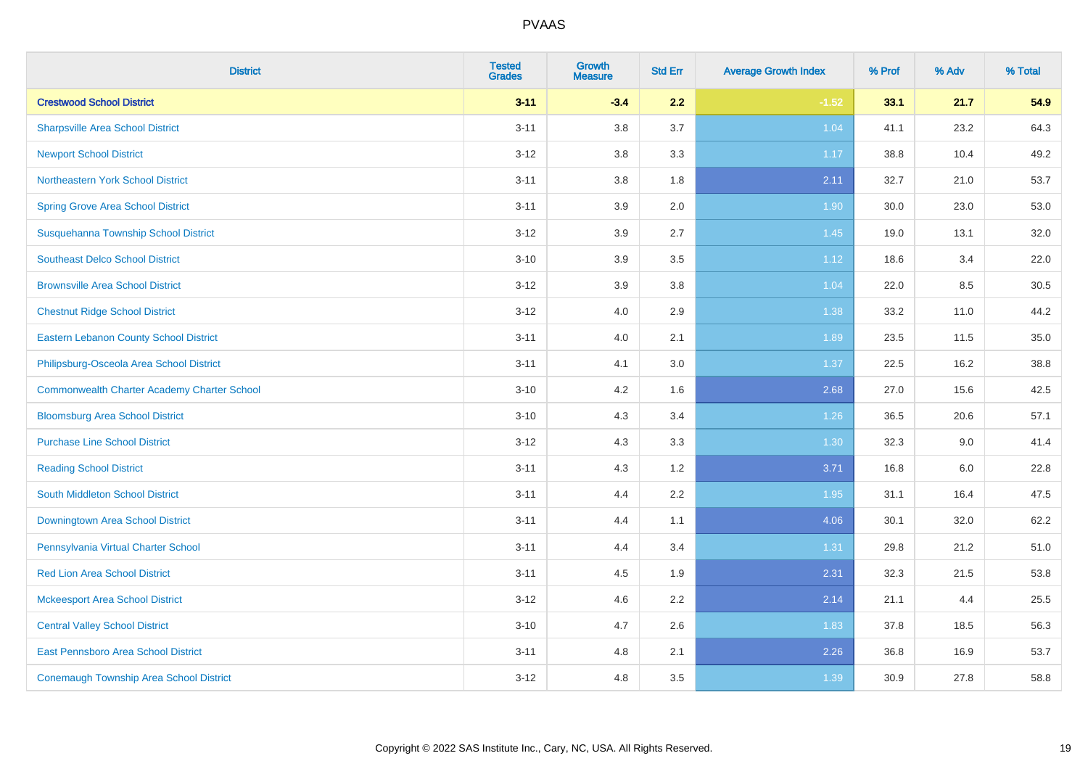| <b>District</b>                                    | <b>Tested</b><br><b>Grades</b> | <b>Growth</b><br><b>Measure</b> | <b>Std Err</b> | <b>Average Growth Index</b> | % Prof | % Adv | % Total |
|----------------------------------------------------|--------------------------------|---------------------------------|----------------|-----------------------------|--------|-------|---------|
| <b>Crestwood School District</b>                   | $3 - 11$                       | $-3.4$                          | 2.2            | $-1.52$                     | 33.1   | 21.7  | 54.9    |
| <b>Sharpsville Area School District</b>            | $3 - 11$                       | 3.8                             | 3.7            | 1.04                        | 41.1   | 23.2  | 64.3    |
| <b>Newport School District</b>                     | $3 - 12$                       | 3.8                             | 3.3            | 1.17                        | 38.8   | 10.4  | 49.2    |
| Northeastern York School District                  | $3 - 11$                       | 3.8                             | 1.8            | 2.11                        | 32.7   | 21.0  | 53.7    |
| <b>Spring Grove Area School District</b>           | $3 - 11$                       | 3.9                             | 2.0            | 1.90                        | 30.0   | 23.0  | 53.0    |
| Susquehanna Township School District               | $3 - 12$                       | 3.9                             | 2.7            | 1.45                        | 19.0   | 13.1  | 32.0    |
| <b>Southeast Delco School District</b>             | $3 - 10$                       | 3.9                             | 3.5            | 1.12                        | 18.6   | 3.4   | 22.0    |
| <b>Brownsville Area School District</b>            | $3 - 12$                       | 3.9                             | 3.8            | 1.04                        | 22.0   | 8.5   | 30.5    |
| <b>Chestnut Ridge School District</b>              | $3 - 12$                       | 4.0                             | 2.9            | 1.38                        | 33.2   | 11.0  | 44.2    |
| <b>Eastern Lebanon County School District</b>      | $3 - 11$                       | 4.0                             | 2.1            | 1.89                        | 23.5   | 11.5  | 35.0    |
| Philipsburg-Osceola Area School District           | $3 - 11$                       | 4.1                             | 3.0            | 1.37                        | 22.5   | 16.2  | 38.8    |
| <b>Commonwealth Charter Academy Charter School</b> | $3 - 10$                       | 4.2                             | 1.6            | 2.68                        | 27.0   | 15.6  | 42.5    |
| <b>Bloomsburg Area School District</b>             | $3 - 10$                       | 4.3                             | 3.4            | 1.26                        | 36.5   | 20.6  | 57.1    |
| <b>Purchase Line School District</b>               | $3 - 12$                       | 4.3                             | 3.3            | 1.30                        | 32.3   | 9.0   | 41.4    |
| <b>Reading School District</b>                     | $3 - 11$                       | 4.3                             | 1.2            | 3.71                        | 16.8   | 6.0   | 22.8    |
| <b>South Middleton School District</b>             | $3 - 11$                       | 4.4                             | 2.2            | 1.95                        | 31.1   | 16.4  | 47.5    |
| Downingtown Area School District                   | $3 - 11$                       | 4.4                             | 1.1            | 4.06                        | 30.1   | 32.0  | 62.2    |
| Pennsylvania Virtual Charter School                | $3 - 11$                       | 4.4                             | 3.4            | 1.31                        | 29.8   | 21.2  | 51.0    |
| <b>Red Lion Area School District</b>               | $3 - 11$                       | 4.5                             | 1.9            | 2.31                        | 32.3   | 21.5  | 53.8    |
| <b>Mckeesport Area School District</b>             | $3 - 12$                       | 4.6                             | 2.2            | 2.14                        | 21.1   | 4.4   | 25.5    |
| <b>Central Valley School District</b>              | $3 - 10$                       | 4.7                             | 2.6            | 1.83                        | 37.8   | 18.5  | 56.3    |
| East Pennsboro Area School District                | $3 - 11$                       | 4.8                             | 2.1            | 2.26                        | 36.8   | 16.9  | 53.7    |
| <b>Conemaugh Township Area School District</b>     | $3 - 12$                       | 4.8                             | 3.5            | 1.39                        | 30.9   | 27.8  | 58.8    |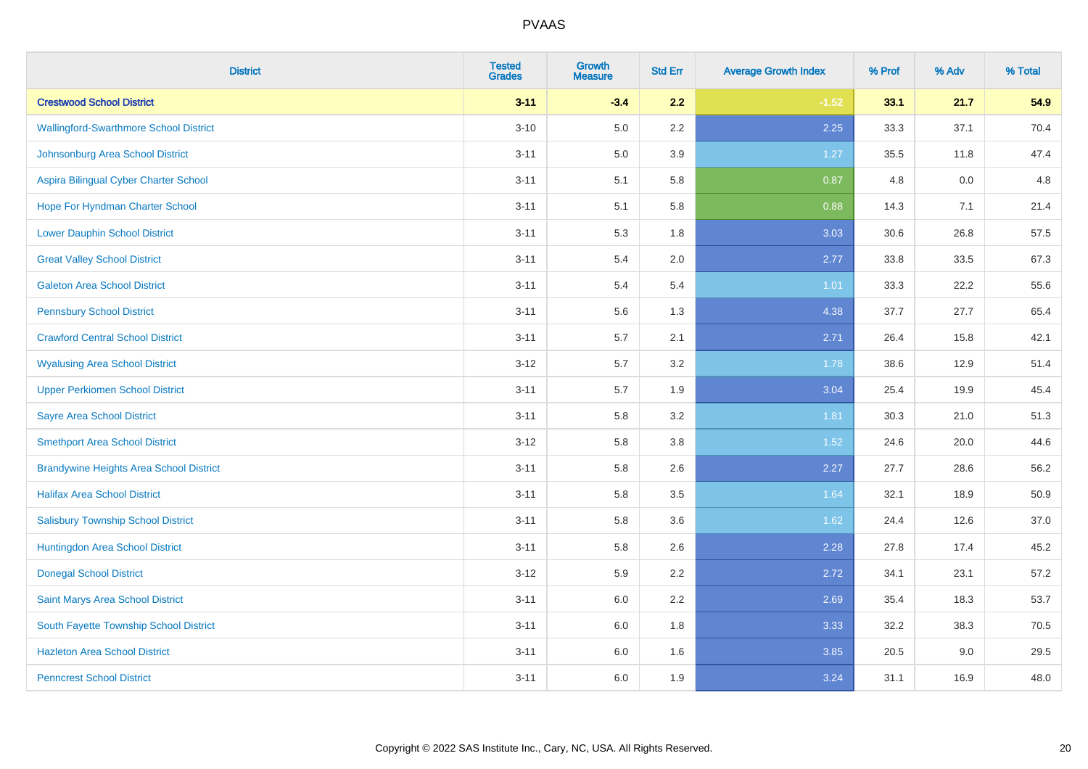| <b>District</b>                                | <b>Tested</b><br><b>Grades</b> | <b>Growth</b><br><b>Measure</b> | <b>Std Err</b> | <b>Average Growth Index</b> | % Prof | % Adv | % Total |
|------------------------------------------------|--------------------------------|---------------------------------|----------------|-----------------------------|--------|-------|---------|
| <b>Crestwood School District</b>               | $3 - 11$                       | $-3.4$                          | 2.2            | $-1.52$                     | 33.1   | 21.7  | 54.9    |
| <b>Wallingford-Swarthmore School District</b>  | $3 - 10$                       | 5.0                             | 2.2            | 2.25                        | 33.3   | 37.1  | 70.4    |
| Johnsonburg Area School District               | $3 - 11$                       | 5.0                             | 3.9            | 1.27                        | 35.5   | 11.8  | 47.4    |
| Aspira Bilingual Cyber Charter School          | $3 - 11$                       | 5.1                             | 5.8            | 0.87                        | 4.8    | 0.0   | 4.8     |
| Hope For Hyndman Charter School                | $3 - 11$                       | 5.1                             | 5.8            | 0.88                        | 14.3   | 7.1   | 21.4    |
| <b>Lower Dauphin School District</b>           | $3 - 11$                       | 5.3                             | 1.8            | 3.03                        | 30.6   | 26.8  | 57.5    |
| <b>Great Valley School District</b>            | $3 - 11$                       | 5.4                             | 2.0            | 2.77                        | 33.8   | 33.5  | 67.3    |
| <b>Galeton Area School District</b>            | $3 - 11$                       | 5.4                             | 5.4            | $1.01$                      | 33.3   | 22.2  | 55.6    |
| <b>Pennsbury School District</b>               | $3 - 11$                       | 5.6                             | 1.3            | 4.38                        | 37.7   | 27.7  | 65.4    |
| <b>Crawford Central School District</b>        | $3 - 11$                       | 5.7                             | 2.1            | 2.71                        | 26.4   | 15.8  | 42.1    |
| <b>Wyalusing Area School District</b>          | $3 - 12$                       | 5.7                             | 3.2            | 1.78                        | 38.6   | 12.9  | 51.4    |
| <b>Upper Perkiomen School District</b>         | $3 - 11$                       | 5.7                             | 1.9            | 3.04                        | 25.4   | 19.9  | 45.4    |
| <b>Sayre Area School District</b>              | $3 - 11$                       | 5.8                             | 3.2            | 1.81                        | 30.3   | 21.0  | 51.3    |
| <b>Smethport Area School District</b>          | $3 - 12$                       | 5.8                             | $3.8\,$        | 1.52                        | 24.6   | 20.0  | 44.6    |
| <b>Brandywine Heights Area School District</b> | $3 - 11$                       | 5.8                             | 2.6            | 2.27                        | 27.7   | 28.6  | 56.2    |
| <b>Halifax Area School District</b>            | $3 - 11$                       | 5.8                             | 3.5            | 1.64                        | 32.1   | 18.9  | 50.9    |
| <b>Salisbury Township School District</b>      | $3 - 11$                       | 5.8                             | 3.6            | 1.62                        | 24.4   | 12.6  | 37.0    |
| Huntingdon Area School District                | $3 - 11$                       | 5.8                             | 2.6            | 2.28                        | 27.8   | 17.4  | 45.2    |
| <b>Donegal School District</b>                 | $3 - 12$                       | 5.9                             | 2.2            | 2.72                        | 34.1   | 23.1  | 57.2    |
| Saint Marys Area School District               | $3 - 11$                       | $6.0\,$                         | 2.2            | 2.69                        | 35.4   | 18.3  | 53.7    |
| South Fayette Township School District         | $3 - 11$                       | 6.0                             | 1.8            | 3.33                        | 32.2   | 38.3  | 70.5    |
| <b>Hazleton Area School District</b>           | $3 - 11$                       | $6.0\,$                         | 1.6            | 3.85                        | 20.5   | 9.0   | 29.5    |
| <b>Penncrest School District</b>               | $3 - 11$                       | 6.0                             | 1.9            | 3.24                        | 31.1   | 16.9  | 48.0    |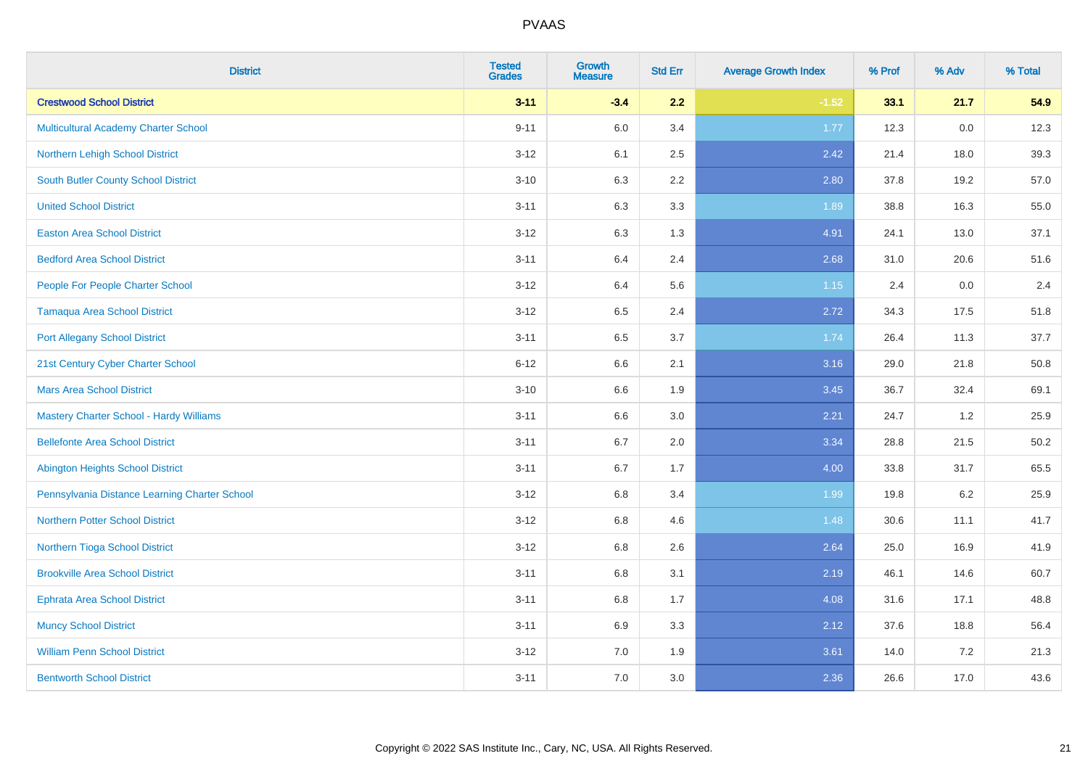| <b>District</b>                                | <b>Tested</b><br><b>Grades</b> | <b>Growth</b><br><b>Measure</b> | <b>Std Err</b> | <b>Average Growth Index</b> | % Prof | % Adv | % Total |
|------------------------------------------------|--------------------------------|---------------------------------|----------------|-----------------------------|--------|-------|---------|
| <b>Crestwood School District</b>               | $3 - 11$                       | $-3.4$                          | 2.2            | $-1.52$                     | 33.1   | 21.7  | 54.9    |
| <b>Multicultural Academy Charter School</b>    | $9 - 11$                       | 6.0                             | 3.4            | 1.77                        | 12.3   | 0.0   | 12.3    |
| Northern Lehigh School District                | $3-12$                         | 6.1                             | 2.5            | 2.42                        | 21.4   | 18.0  | 39.3    |
| <b>South Butler County School District</b>     | $3 - 10$                       | 6.3                             | 2.2            | 2.80                        | 37.8   | 19.2  | 57.0    |
| <b>United School District</b>                  | $3 - 11$                       | 6.3                             | 3.3            | 1.89                        | 38.8   | 16.3  | 55.0    |
| <b>Easton Area School District</b>             | $3-12$                         | 6.3                             | 1.3            | 4.91                        | 24.1   | 13.0  | 37.1    |
| <b>Bedford Area School District</b>            | $3 - 11$                       | 6.4                             | 2.4            | 2.68                        | 31.0   | 20.6  | 51.6    |
| People For People Charter School               | $3 - 12$                       | 6.4                             | 5.6            | 1.15                        | 2.4    | 0.0   | 2.4     |
| <b>Tamaqua Area School District</b>            | $3-12$                         | 6.5                             | 2.4            | 2.72                        | 34.3   | 17.5  | 51.8    |
| <b>Port Allegany School District</b>           | $3 - 11$                       | 6.5                             | 3.7            | 1.74                        | 26.4   | 11.3  | 37.7    |
| 21st Century Cyber Charter School              | $6 - 12$                       | 6.6                             | 2.1            | 3.16                        | 29.0   | 21.8  | 50.8    |
| <b>Mars Area School District</b>               | $3 - 10$                       | 6.6                             | 1.9            | 3.45                        | 36.7   | 32.4  | 69.1    |
| <b>Mastery Charter School - Hardy Williams</b> | $3 - 11$                       | 6.6                             | 3.0            | 2.21                        | 24.7   | 1.2   | 25.9    |
| <b>Bellefonte Area School District</b>         | $3 - 11$                       | 6.7                             | 2.0            | 3.34                        | 28.8   | 21.5  | 50.2    |
| <b>Abington Heights School District</b>        | $3 - 11$                       | 6.7                             | 1.7            | 4.00                        | 33.8   | 31.7  | 65.5    |
| Pennsylvania Distance Learning Charter School  | $3 - 12$                       | 6.8                             | 3.4            | 1.99                        | 19.8   | 6.2   | 25.9    |
| <b>Northern Potter School District</b>         | $3-12$                         | 6.8                             | 4.6            | 1.48                        | 30.6   | 11.1  | 41.7    |
| Northern Tioga School District                 | $3-12$                         | 6.8                             | 2.6            | 2.64                        | 25.0   | 16.9  | 41.9    |
| <b>Brookville Area School District</b>         | $3 - 11$                       | 6.8                             | 3.1            | 2.19                        | 46.1   | 14.6  | 60.7    |
| <b>Ephrata Area School District</b>            | $3 - 11$                       | 6.8                             | 1.7            | 4.08                        | 31.6   | 17.1  | 48.8    |
| <b>Muncy School District</b>                   | $3 - 11$                       | 6.9                             | 3.3            | 2.12                        | 37.6   | 18.8  | 56.4    |
| <b>William Penn School District</b>            | $3 - 12$                       | 7.0                             | 1.9            | 3.61                        | 14.0   | 7.2   | 21.3    |
| <b>Bentworth School District</b>               | $3 - 11$                       | 7.0                             | 3.0            | 2.36                        | 26.6   | 17.0  | 43.6    |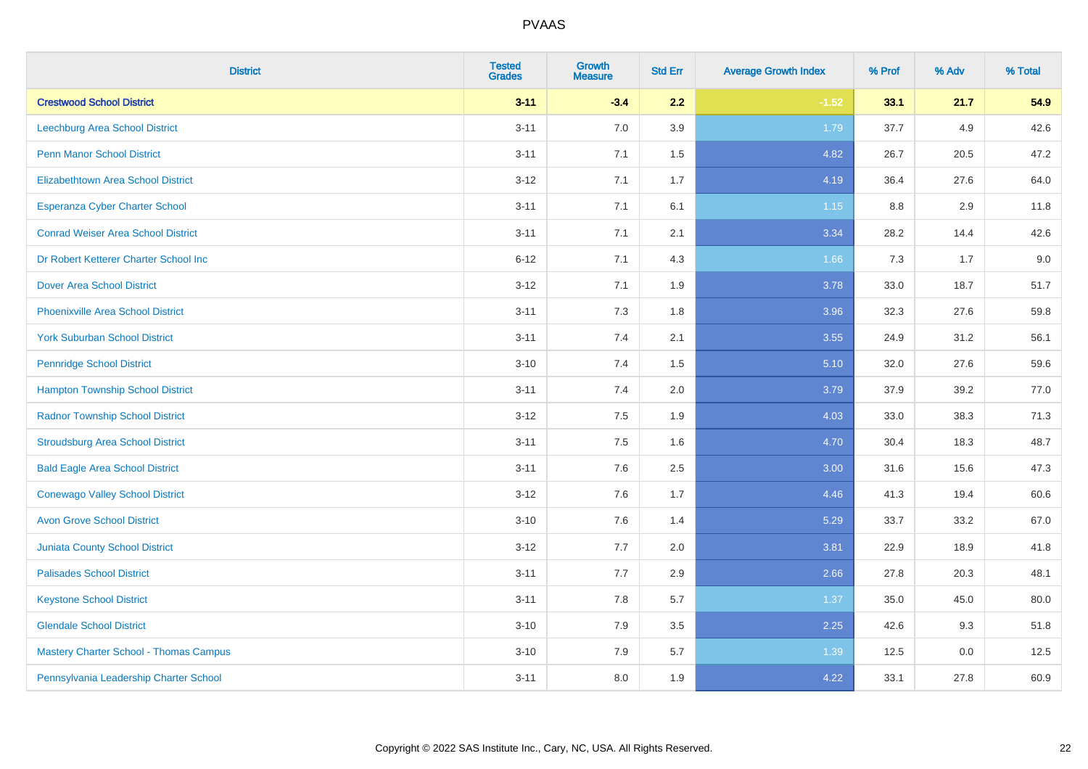| <b>District</b>                               | <b>Tested</b><br><b>Grades</b> | Growth<br><b>Measure</b> | <b>Std Err</b> | <b>Average Growth Index</b> | % Prof | % Adv | % Total |
|-----------------------------------------------|--------------------------------|--------------------------|----------------|-----------------------------|--------|-------|---------|
| <b>Crestwood School District</b>              | $3 - 11$                       | $-3.4$                   | 2.2            | $-1.52$                     | 33.1   | 21.7  | 54.9    |
| Leechburg Area School District                | $3 - 11$                       | 7.0                      | 3.9            | 1.79                        | 37.7   | 4.9   | 42.6    |
| <b>Penn Manor School District</b>             | $3 - 11$                       | 7.1                      | 1.5            | 4.82                        | 26.7   | 20.5  | 47.2    |
| <b>Elizabethtown Area School District</b>     | $3 - 12$                       | 7.1                      | 1.7            | 4.19                        | 36.4   | 27.6  | 64.0    |
| <b>Esperanza Cyber Charter School</b>         | $3 - 11$                       | 7.1                      | 6.1            | 1.15                        | 8.8    | 2.9   | 11.8    |
| <b>Conrad Weiser Area School District</b>     | $3 - 11$                       | 7.1                      | 2.1            | 3.34                        | 28.2   | 14.4  | 42.6    |
| Dr Robert Ketterer Charter School Inc         | $6 - 12$                       | 7.1                      | 4.3            | 1.66                        | 7.3    | 1.7   | 9.0     |
| <b>Dover Area School District</b>             | $3 - 12$                       | 7.1                      | 1.9            | 3.78                        | 33.0   | 18.7  | 51.7    |
| <b>Phoenixville Area School District</b>      | $3 - 11$                       | 7.3                      | 1.8            | 3.96                        | 32.3   | 27.6  | 59.8    |
| <b>York Suburban School District</b>          | $3 - 11$                       | 7.4                      | 2.1            | 3.55                        | 24.9   | 31.2  | 56.1    |
| <b>Pennridge School District</b>              | $3 - 10$                       | 7.4                      | 1.5            | 5.10                        | 32.0   | 27.6  | 59.6    |
| <b>Hampton Township School District</b>       | $3 - 11$                       | 7.4                      | 2.0            | 3.79                        | 37.9   | 39.2  | 77.0    |
| <b>Radnor Township School District</b>        | $3 - 12$                       | 7.5                      | 1.9            | 4.03                        | 33.0   | 38.3  | 71.3    |
| <b>Stroudsburg Area School District</b>       | $3 - 11$                       | 7.5                      | 1.6            | 4.70                        | 30.4   | 18.3  | 48.7    |
| <b>Bald Eagle Area School District</b>        | $3 - 11$                       | 7.6                      | 2.5            | 3.00                        | 31.6   | 15.6  | 47.3    |
| <b>Conewago Valley School District</b>        | $3 - 12$                       | 7.6                      | 1.7            | 4.46                        | 41.3   | 19.4  | 60.6    |
| <b>Avon Grove School District</b>             | $3 - 10$                       | 7.6                      | 1.4            | 5.29                        | 33.7   | 33.2  | 67.0    |
| <b>Juniata County School District</b>         | $3 - 12$                       | 7.7                      | 2.0            | 3.81                        | 22.9   | 18.9  | 41.8    |
| <b>Palisades School District</b>              | $3 - 11$                       | 7.7                      | 2.9            | 2.66                        | 27.8   | 20.3  | 48.1    |
| <b>Keystone School District</b>               | $3 - 11$                       | 7.8                      | 5.7            | 1.37                        | 35.0   | 45.0  | 80.0    |
| <b>Glendale School District</b>               | $3 - 10$                       | 7.9                      | 3.5            | 2.25                        | 42.6   | 9.3   | 51.8    |
| <b>Mastery Charter School - Thomas Campus</b> | $3 - 10$                       | 7.9                      | 5.7            | 1.39                        | 12.5   | 0.0   | 12.5    |
| Pennsylvania Leadership Charter School        | $3 - 11$                       | 8.0                      | 1.9            | 4.22                        | 33.1   | 27.8  | 60.9    |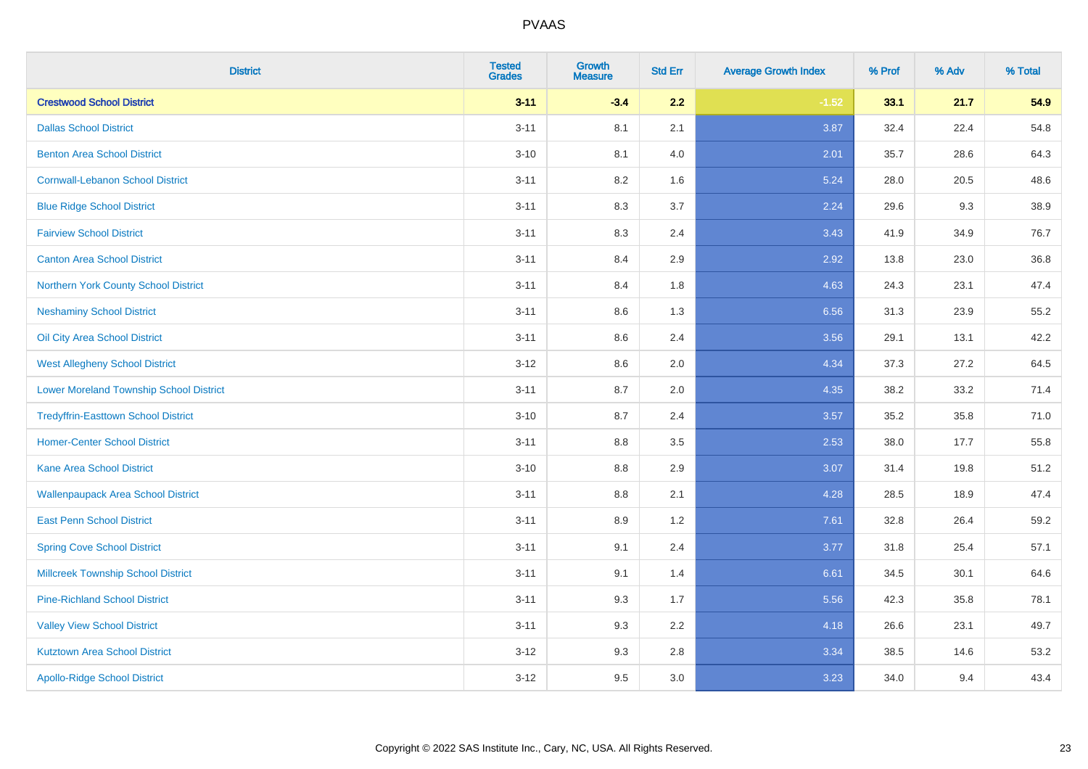| <b>District</b>                                | <b>Tested</b><br><b>Grades</b> | <b>Growth</b><br><b>Measure</b> | <b>Std Err</b> | <b>Average Growth Index</b> | % Prof | % Adv | % Total |
|------------------------------------------------|--------------------------------|---------------------------------|----------------|-----------------------------|--------|-------|---------|
| <b>Crestwood School District</b>               | $3 - 11$                       | $-3.4$                          | 2.2            | $-1.52$                     | 33.1   | 21.7  | 54.9    |
| <b>Dallas School District</b>                  | $3 - 11$                       | 8.1                             | 2.1            | 3.87                        | 32.4   | 22.4  | 54.8    |
| <b>Benton Area School District</b>             | $3 - 10$                       | 8.1                             | 4.0            | 2.01                        | 35.7   | 28.6  | 64.3    |
| <b>Cornwall-Lebanon School District</b>        | $3 - 11$                       | 8.2                             | 1.6            | 5.24                        | 28.0   | 20.5  | 48.6    |
| <b>Blue Ridge School District</b>              | $3 - 11$                       | 8.3                             | 3.7            | 2.24                        | 29.6   | 9.3   | 38.9    |
| <b>Fairview School District</b>                | $3 - 11$                       | 8.3                             | 2.4            | 3.43                        | 41.9   | 34.9  | 76.7    |
| <b>Canton Area School District</b>             | $3 - 11$                       | 8.4                             | 2.9            | 2.92                        | 13.8   | 23.0  | 36.8    |
| Northern York County School District           | $3 - 11$                       | 8.4                             | 1.8            | 4.63                        | 24.3   | 23.1  | 47.4    |
| <b>Neshaminy School District</b>               | $3 - 11$                       | 8.6                             | 1.3            | 6.56                        | 31.3   | 23.9  | 55.2    |
| Oil City Area School District                  | $3 - 11$                       | 8.6                             | 2.4            | 3.56                        | 29.1   | 13.1  | 42.2    |
| <b>West Allegheny School District</b>          | $3 - 12$                       | 8.6                             | 2.0            | 4.34                        | 37.3   | 27.2  | 64.5    |
| <b>Lower Moreland Township School District</b> | $3 - 11$                       | 8.7                             | 2.0            | 4.35                        | 38.2   | 33.2  | 71.4    |
| <b>Tredyffrin-Easttown School District</b>     | $3 - 10$                       | 8.7                             | 2.4            | 3.57                        | 35.2   | 35.8  | 71.0    |
| <b>Homer-Center School District</b>            | $3 - 11$                       | 8.8                             | 3.5            | 2.53                        | 38.0   | 17.7  | 55.8    |
| <b>Kane Area School District</b>               | $3 - 10$                       | 8.8                             | 2.9            | 3.07                        | 31.4   | 19.8  | 51.2    |
| <b>Wallenpaupack Area School District</b>      | $3 - 11$                       | $8.8\,$                         | 2.1            | 4.28                        | 28.5   | 18.9  | 47.4    |
| <b>East Penn School District</b>               | $3 - 11$                       | 8.9                             | 1.2            | 7.61                        | 32.8   | 26.4  | 59.2    |
| <b>Spring Cove School District</b>             | $3 - 11$                       | 9.1                             | 2.4            | 3.77                        | 31.8   | 25.4  | 57.1    |
| <b>Millcreek Township School District</b>      | $3 - 11$                       | 9.1                             | 1.4            | 6.61                        | 34.5   | 30.1  | 64.6    |
| <b>Pine-Richland School District</b>           | $3 - 11$                       | 9.3                             | 1.7            | 5.56                        | 42.3   | 35.8  | 78.1    |
| <b>Valley View School District</b>             | $3 - 11$                       | 9.3                             | 2.2            | 4.18                        | 26.6   | 23.1  | 49.7    |
| <b>Kutztown Area School District</b>           | $3 - 12$                       | 9.3                             | 2.8            | 3.34                        | 38.5   | 14.6  | 53.2    |
| <b>Apollo-Ridge School District</b>            | $3 - 12$                       | 9.5                             | 3.0            | 3.23                        | 34.0   | 9.4   | 43.4    |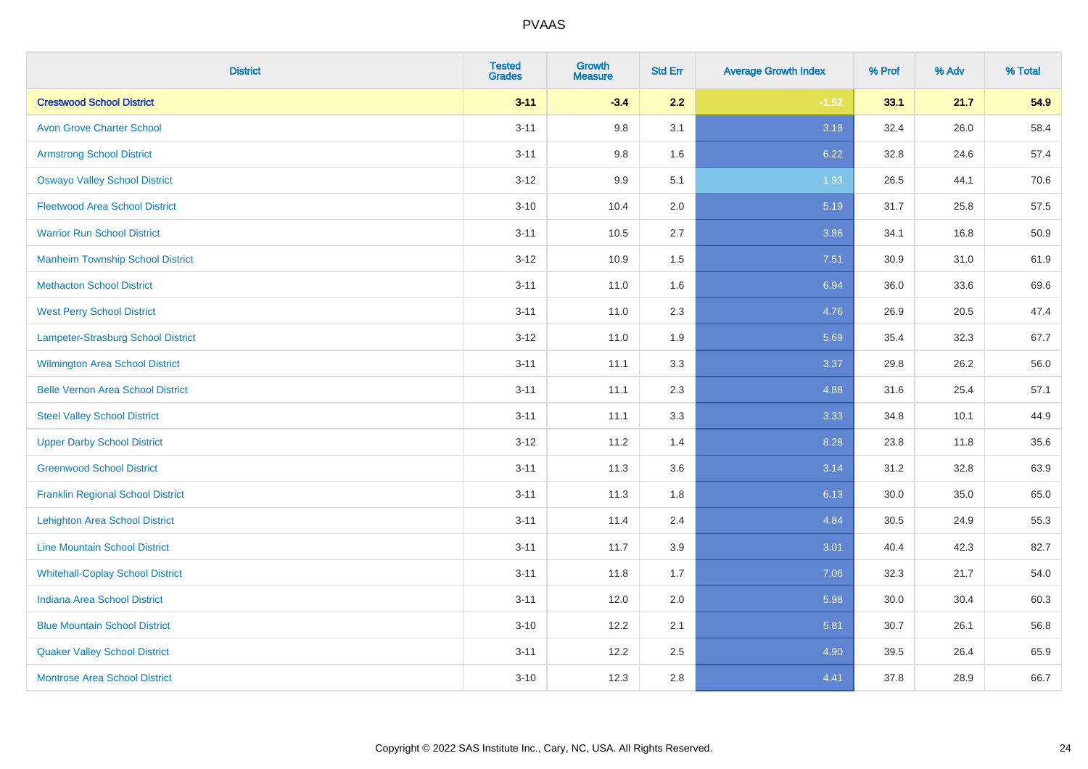| <b>District</b>                          | <b>Tested</b><br><b>Grades</b> | <b>Growth</b><br><b>Measure</b> | <b>Std Err</b> | <b>Average Growth Index</b> | % Prof | % Adv | % Total |
|------------------------------------------|--------------------------------|---------------------------------|----------------|-----------------------------|--------|-------|---------|
| <b>Crestwood School District</b>         | $3 - 11$                       | $-3.4$                          | 2.2            | $-1.52$                     | 33.1   | 21.7  | 54.9    |
| <b>Avon Grove Charter School</b>         | $3 - 11$                       | 9.8                             | 3.1            | 3.18                        | 32.4   | 26.0  | 58.4    |
| <b>Armstrong School District</b>         | $3 - 11$                       | 9.8                             | 1.6            | 6.22                        | 32.8   | 24.6  | 57.4    |
| <b>Oswayo Valley School District</b>     | $3 - 12$                       | 9.9                             | 5.1            | 1.93                        | 26.5   | 44.1  | 70.6    |
| <b>Fleetwood Area School District</b>    | $3 - 10$                       | 10.4                            | 2.0            | 5.19                        | 31.7   | 25.8  | 57.5    |
| <b>Warrior Run School District</b>       | $3 - 11$                       | 10.5                            | 2.7            | 3.86                        | 34.1   | 16.8  | 50.9    |
| <b>Manheim Township School District</b>  | $3-12$                         | 10.9                            | 1.5            | 7.51                        | 30.9   | 31.0  | 61.9    |
| <b>Methacton School District</b>         | $3 - 11$                       | 11.0                            | 1.6            | 6.94                        | 36.0   | 33.6  | 69.6    |
| <b>West Perry School District</b>        | $3 - 11$                       | 11.0                            | 2.3            | 4.76                        | 26.9   | 20.5  | 47.4    |
| Lampeter-Strasburg School District       | $3 - 12$                       | 11.0                            | 1.9            | 5.69                        | 35.4   | 32.3  | 67.7    |
| <b>Wilmington Area School District</b>   | $3 - 11$                       | 11.1                            | 3.3            | 3.37                        | 29.8   | 26.2  | 56.0    |
| <b>Belle Vernon Area School District</b> | $3 - 11$                       | 11.1                            | 2.3            | 4.88                        | 31.6   | 25.4  | 57.1    |
| <b>Steel Valley School District</b>      | $3 - 11$                       | 11.1                            | 3.3            | 3.33                        | 34.8   | 10.1  | 44.9    |
| <b>Upper Darby School District</b>       | $3 - 12$                       | 11.2                            | 1.4            | 8.28                        | 23.8   | 11.8  | 35.6    |
| <b>Greenwood School District</b>         | $3 - 11$                       | 11.3                            | 3.6            | 3.14                        | 31.2   | 32.8  | 63.9    |
| <b>Franklin Regional School District</b> | $3 - 11$                       | 11.3                            | 1.8            | 6.13                        | 30.0   | 35.0  | 65.0    |
| <b>Lehighton Area School District</b>    | $3 - 11$                       | 11.4                            | 2.4            | 4.84                        | 30.5   | 24.9  | 55.3    |
| <b>Line Mountain School District</b>     | $3 - 11$                       | 11.7                            | 3.9            | 3.01                        | 40.4   | 42.3  | 82.7    |
| <b>Whitehall-Coplay School District</b>  | $3 - 11$                       | 11.8                            | 1.7            | 7.06                        | 32.3   | 21.7  | 54.0    |
| <b>Indiana Area School District</b>      | $3 - 11$                       | 12.0                            | 2.0            | 5.98                        | 30.0   | 30.4  | 60.3    |
| <b>Blue Mountain School District</b>     | $3 - 10$                       | 12.2                            | 2.1            | 5.81                        | 30.7   | 26.1  | 56.8    |
| <b>Quaker Valley School District</b>     | $3 - 11$                       | 12.2                            | 2.5            | 4.90                        | 39.5   | 26.4  | 65.9    |
| <b>Montrose Area School District</b>     | $3 - 10$                       | 12.3                            | 2.8            | 4.41                        | 37.8   | 28.9  | 66.7    |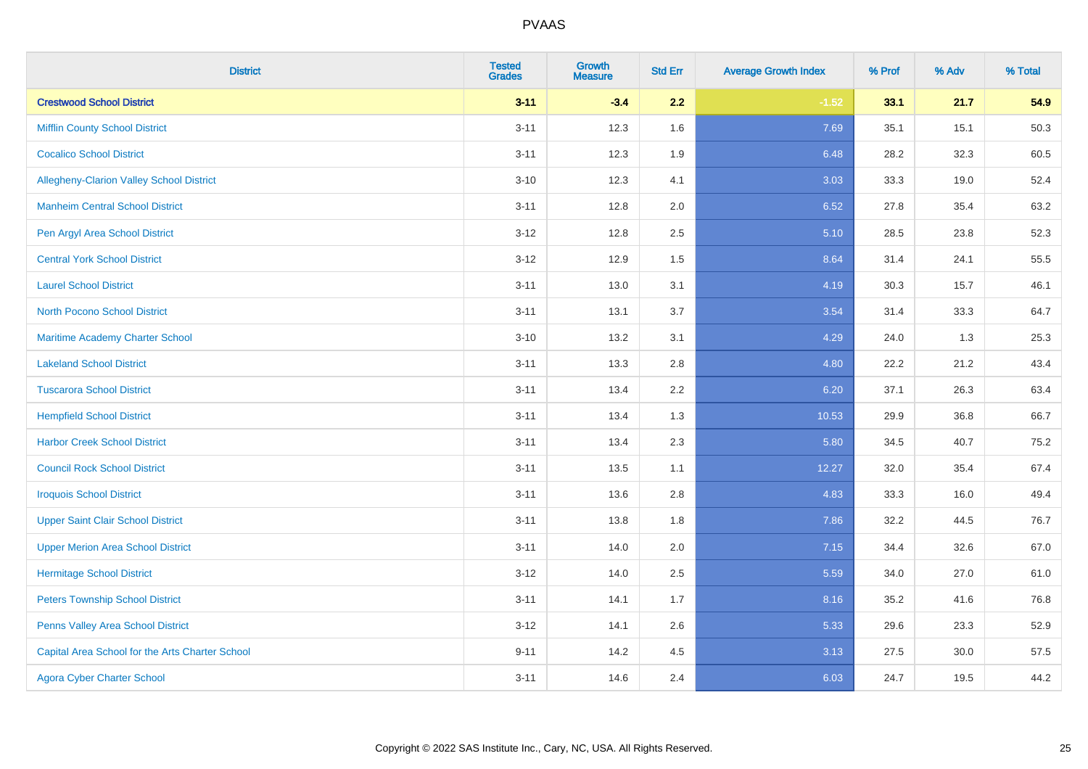| <b>District</b>                                 | <b>Tested</b><br><b>Grades</b> | <b>Growth</b><br><b>Measure</b> | <b>Std Err</b> | <b>Average Growth Index</b> | % Prof | % Adv | % Total |
|-------------------------------------------------|--------------------------------|---------------------------------|----------------|-----------------------------|--------|-------|---------|
| <b>Crestwood School District</b>                | $3 - 11$                       | $-3.4$                          | 2.2            | $-1.52$                     | 33.1   | 21.7  | 54.9    |
| <b>Mifflin County School District</b>           | $3 - 11$                       | 12.3                            | 1.6            | 7.69                        | 35.1   | 15.1  | 50.3    |
| <b>Cocalico School District</b>                 | $3 - 11$                       | 12.3                            | 1.9            | 6.48                        | 28.2   | 32.3  | 60.5    |
| Allegheny-Clarion Valley School District        | $3 - 10$                       | 12.3                            | 4.1            | 3.03                        | 33.3   | 19.0  | 52.4    |
| <b>Manheim Central School District</b>          | $3 - 11$                       | 12.8                            | 2.0            | 6.52                        | 27.8   | 35.4  | 63.2    |
| Pen Argyl Area School District                  | $3 - 12$                       | 12.8                            | 2.5            | 5.10                        | 28.5   | 23.8  | 52.3    |
| <b>Central York School District</b>             | $3 - 12$                       | 12.9                            | 1.5            | 8.64                        | 31.4   | 24.1  | 55.5    |
| <b>Laurel School District</b>                   | $3 - 11$                       | 13.0                            | 3.1            | 4.19                        | 30.3   | 15.7  | 46.1    |
| North Pocono School District                    | $3 - 11$                       | 13.1                            | 3.7            | 3.54                        | 31.4   | 33.3  | 64.7    |
| <b>Maritime Academy Charter School</b>          | $3 - 10$                       | 13.2                            | 3.1            | 4.29                        | 24.0   | 1.3   | 25.3    |
| <b>Lakeland School District</b>                 | $3 - 11$                       | 13.3                            | 2.8            | 4.80                        | 22.2   | 21.2  | 43.4    |
| <b>Tuscarora School District</b>                | $3 - 11$                       | 13.4                            | 2.2            | 6.20                        | 37.1   | 26.3  | 63.4    |
| <b>Hempfield School District</b>                | $3 - 11$                       | 13.4                            | 1.3            | 10.53                       | 29.9   | 36.8  | 66.7    |
| <b>Harbor Creek School District</b>             | $3 - 11$                       | 13.4                            | 2.3            | 5.80                        | 34.5   | 40.7  | 75.2    |
| <b>Council Rock School District</b>             | $3 - 11$                       | 13.5                            | 1.1            | 12.27                       | 32.0   | 35.4  | 67.4    |
| <b>Iroquois School District</b>                 | $3 - 11$                       | 13.6                            | 2.8            | 4.83                        | 33.3   | 16.0  | 49.4    |
| <b>Upper Saint Clair School District</b>        | $3 - 11$                       | 13.8                            | 1.8            | 7.86                        | 32.2   | 44.5  | 76.7    |
| <b>Upper Merion Area School District</b>        | $3 - 11$                       | 14.0                            | 2.0            | 7.15                        | 34.4   | 32.6  | 67.0    |
| <b>Hermitage School District</b>                | $3 - 12$                       | 14.0                            | 2.5            | 5.59                        | 34.0   | 27.0  | 61.0    |
| <b>Peters Township School District</b>          | $3 - 11$                       | 14.1                            | 1.7            | 8.16                        | 35.2   | 41.6  | 76.8    |
| Penns Valley Area School District               | $3 - 12$                       | 14.1                            | 2.6            | 5.33                        | 29.6   | 23.3  | 52.9    |
| Capital Area School for the Arts Charter School | $9 - 11$                       | 14.2                            | 4.5            | 3.13                        | 27.5   | 30.0  | 57.5    |
| <b>Agora Cyber Charter School</b>               | $3 - 11$                       | 14.6                            | 2.4            | 6.03                        | 24.7   | 19.5  | 44.2    |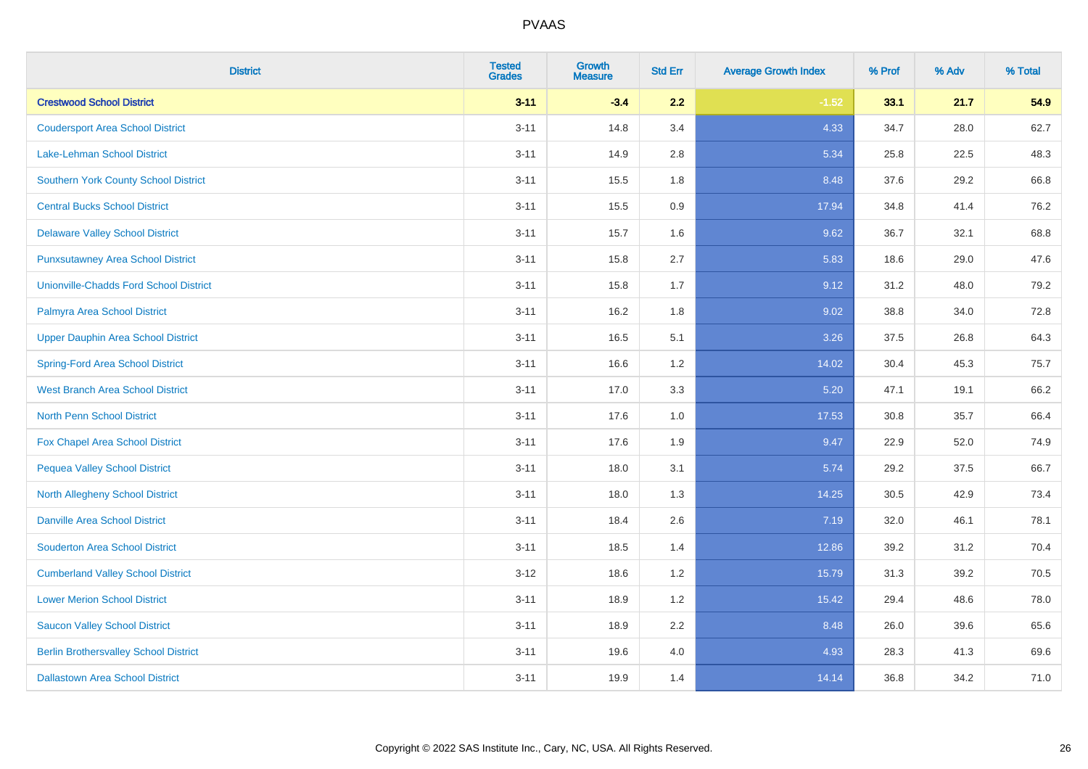| <b>District</b>                               | <b>Tested</b><br><b>Grades</b> | <b>Growth</b><br><b>Measure</b> | <b>Std Err</b> | <b>Average Growth Index</b> | % Prof | % Adv | % Total |
|-----------------------------------------------|--------------------------------|---------------------------------|----------------|-----------------------------|--------|-------|---------|
| <b>Crestwood School District</b>              | $3 - 11$                       | $-3.4$                          | 2.2            | $-1.52$                     | 33.1   | 21.7  | 54.9    |
| <b>Coudersport Area School District</b>       | $3 - 11$                       | 14.8                            | 3.4            | 4.33                        | 34.7   | 28.0  | 62.7    |
| Lake-Lehman School District                   | $3 - 11$                       | 14.9                            | 2.8            | 5.34                        | 25.8   | 22.5  | 48.3    |
| <b>Southern York County School District</b>   | $3 - 11$                       | 15.5                            | 1.8            | 8.48                        | 37.6   | 29.2  | 66.8    |
| <b>Central Bucks School District</b>          | $3 - 11$                       | 15.5                            | 0.9            | 17.94                       | 34.8   | 41.4  | 76.2    |
| <b>Delaware Valley School District</b>        | $3 - 11$                       | 15.7                            | 1.6            | 9.62                        | 36.7   | 32.1  | 68.8    |
| <b>Punxsutawney Area School District</b>      | $3 - 11$                       | 15.8                            | 2.7            | 5.83                        | 18.6   | 29.0  | 47.6    |
| <b>Unionville-Chadds Ford School District</b> | $3 - 11$                       | 15.8                            | 1.7            | 9.12                        | 31.2   | 48.0  | 79.2    |
| Palmyra Area School District                  | $3 - 11$                       | 16.2                            | 1.8            | 9.02                        | 38.8   | 34.0  | 72.8    |
| <b>Upper Dauphin Area School District</b>     | $3 - 11$                       | 16.5                            | 5.1            | 3.26                        | 37.5   | 26.8  | 64.3    |
| <b>Spring-Ford Area School District</b>       | $3 - 11$                       | 16.6                            | 1.2            | 14.02                       | 30.4   | 45.3  | 75.7    |
| <b>West Branch Area School District</b>       | $3 - 11$                       | 17.0                            | 3.3            | 5.20                        | 47.1   | 19.1  | 66.2    |
| North Penn School District                    | $3 - 11$                       | 17.6                            | 1.0            | 17.53                       | 30.8   | 35.7  | 66.4    |
| <b>Fox Chapel Area School District</b>        | $3 - 11$                       | 17.6                            | 1.9            | 9.47                        | 22.9   | 52.0  | 74.9    |
| <b>Pequea Valley School District</b>          | $3 - 11$                       | 18.0                            | 3.1            | 5.74                        | 29.2   | 37.5  | 66.7    |
| North Allegheny School District               | $3 - 11$                       | 18.0                            | 1.3            | 14.25                       | 30.5   | 42.9  | 73.4    |
| <b>Danville Area School District</b>          | $3 - 11$                       | 18.4                            | 2.6            | 7.19                        | 32.0   | 46.1  | 78.1    |
| <b>Souderton Area School District</b>         | $3 - 11$                       | 18.5                            | 1.4            | 12.86                       | 39.2   | 31.2  | 70.4    |
| <b>Cumberland Valley School District</b>      | $3 - 12$                       | 18.6                            | 1.2            | 15.79                       | 31.3   | 39.2  | 70.5    |
| <b>Lower Merion School District</b>           | $3 - 11$                       | 18.9                            | 1.2            | 15.42                       | 29.4   | 48.6  | 78.0    |
| <b>Saucon Valley School District</b>          | $3 - 11$                       | 18.9                            | 2.2            | 8.48                        | 26.0   | 39.6  | 65.6    |
| <b>Berlin Brothersvalley School District</b>  | $3 - 11$                       | 19.6                            | 4.0            | 4.93                        | 28.3   | 41.3  | 69.6    |
| <b>Dallastown Area School District</b>        | $3 - 11$                       | 19.9                            | 1.4            | 14.14                       | 36.8   | 34.2  | 71.0    |